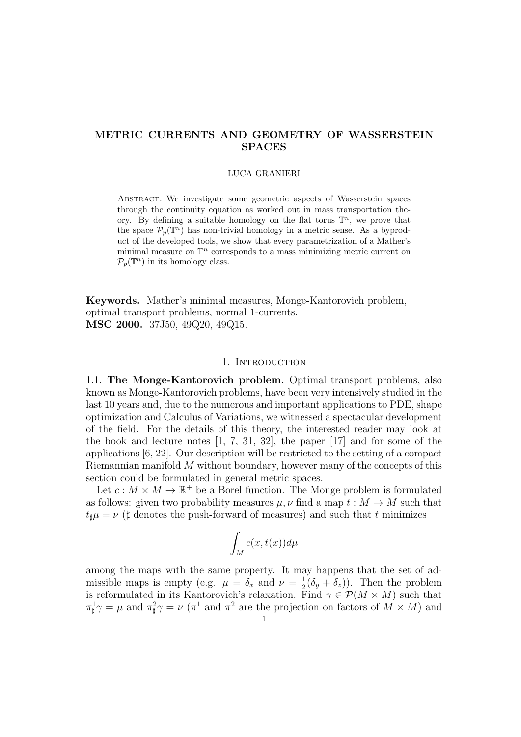## **METRIC CURRENTS AND GEOMETRY OF WASSERSTEIN SPACES**

#### LUCA GRANIERI

Abstract. We investigate some geometric aspects of Wasserstein spaces through the continuity equation as worked out in mass transportation theory. By defining a suitable homology on the flat torus  $\mathbb{T}^n$ , we prove that the space  $P_p(\mathbb{T}^n)$  has non-trivial homology in a metric sense. As a byproduct of the developed tools, we show that every parametrization of a Mather's minimal measure on  $\mathbb{T}^n$  corresponds to a mass minimizing metric current on  $P_p(\mathbb{T}^n)$  in its homology class.

**Keywords.** Mather's minimal measures, Monge-Kantorovich problem, optimal transport problems, normal 1-currents. **MSC 2000.** 37J50, 49Q20, 49Q15.

### 1. Introduction

1.1. **The Monge-Kantorovich problem.** Optimal transport problems, also known as Monge-Kantorovich problems, have been very intensively studied in the last 10 years and, due to the numerous and important applications to PDE, shape optimization and Calculus of Variations, we witnessed a spectacular development of the field. For the details of this theory, the interested reader may look at the book and lecture notes [1, 7, 31, 32], the paper [17] and for some of the applications [6, 22]. Our description will be restricted to the setting of a compact Riemannian manifold *M* without boundary, however many of the concepts of this section could be formulated in general metric spaces.

Let  $c: M \times M \to \mathbb{R}^+$  be a Borel function. The Monge problem is formulated as follows: given two probability measures  $\mu$ ,  $\nu$  find a map  $t : M \to M$  such that  $t_{\sharp}\mu = \nu$  ( $\sharp$  denotes the push-forward of measures) and such that *t* minimizes

$$
\int_M c(x,t(x))d\mu
$$

among the maps with the same property. It may happens that the set of admissible maps is empty (e.g.  $\mu = \delta_x$  and  $\nu = \frac{1}{2}$  $\frac{1}{2}(\delta_y + \delta_z)$ ). Then the problem is reformulated in its Kantorovich's relaxation. Find  $\gamma \in \mathcal{P}(M \times M)$  such that  $\pi_{\sharp}^1 \gamma = \mu$  and  $\pi_{\sharp}^2 \gamma = \nu$  ( $\pi^1$  and  $\pi^2$  are the projection on factors of  $M \times M$ ) and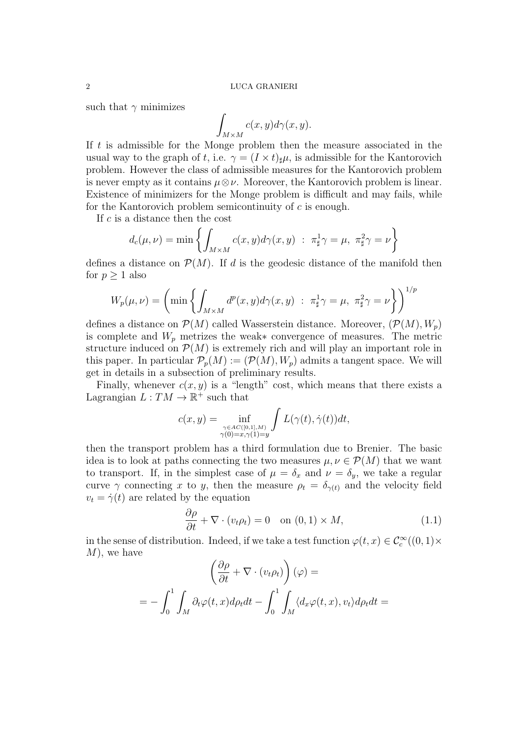such that  $\gamma$  minimizes

$$
\int_{M\times M} c(x,y)d\gamma(x,y).
$$

If *t* is admissible for the Monge problem then the measure associated in the usual way to the graph of *t*, i.e.  $\gamma = (I \times t)_\sharp \mu$ , is admissible for the Kantorovich problem. However the class of admissible measures for the Kantorovich problem is never empty as it contains  $\mu \otimes \nu$ . Moreover, the Kantorovich problem is linear. Existence of minimizers for the Monge problem is difficult and may fails, while for the Kantorovich problem semicontinuity of *c* is enough. mpty as it contains<br>
of minimizers for<br>
antorovich probler<br> *d*<sub>c</sub>( $\mu$ ,  $\nu$ ) = min {

If *c* is a distance then the cost

$$
d_c(\mu, \nu) = \min \left\{ \int_{M \times M} c(x, y) d\gamma(x, y) : \pi_{\sharp}^1 \gamma = \mu, \ \pi_{\sharp}^2 \gamma = \nu \right\}
$$

defines a distance on  $\mathcal{P}(M)$ . If *d* is the geodesic distance of the manifold then for  $p \geq 1$  also  $d_c(\mu, \nu) = \min \Big\{$ <br>
ss a distance on  $\mathcal{P}(\Lambda)$ <br>  $\geq 1$  also<br>  $W_p(\mu, \nu) = \Big(\min \Big\{ \frac{1}{\nu}\Big\}$ 

$$
W_p(\mu,\nu) = \left(\min\left\{\int_{M\times M} d^p(x,y)d\gamma(x,y) \ : \ \pi^1_\sharp \gamma = \mu, \ \pi^2_\sharp \gamma = \nu\right\}\right)^{1/p}
$$

defines a distance on  $\mathcal{P}(M)$  called Wasserstein distance. Moreover,  $(\mathcal{P}(M), W_p)$ is complete and *W<sup>p</sup>* metrizes the weak*∗* convergence of measures. The metric structure induced on  $\mathcal{P}(M)$  is extremely rich and will play an important role in this paper. In particular  $\mathcal{P}_p(M) := (\mathcal{P}(M), W_p)$  admits a tangent space. We will get in details in a subsection of preliminary results.

Finally, whenever  $c(x, y)$  is a "length" cost, which means that there exists a Lagrangian  $L: TM \to \mathbb{R}^+$  such that

$$
c(x,y) = \inf_{\substack{\gamma \in AC([0,1],M) \\ \gamma(0)=x,\gamma(1)=y}} \int L(\gamma(t),\dot{\gamma}(t))dt,
$$

then the transport problem has a third formulation due to Brenier. The basic idea is to look at paths connecting the two measures  $\mu, \nu \in \mathcal{P}(M)$  that we want to transport. If, in the simplest case of  $\mu = \delta_x$  and  $\nu = \delta_y$ , we take a regular curve  $\gamma$  connecting *x* to *y*, then the measure  $\rho_t = \delta_{\gamma(t)}$  and the velocity field  $v_t = \dot{\gamma}(t)$  are related by the equation

$$
\frac{\partial \rho}{\partial t} + \nabla \cdot (v_t \rho_t) = 0 \quad \text{on } (0, 1) \times M,
$$
\n(1.1)

in the sense of distribution. Indeed, if we take a test function  $\varphi(t, x) \in C_c^{\infty}((0, 1) \times$ *M*), we have

$$
\left(\frac{\partial \rho}{\partial t} + \nabla \cdot (v_t \rho_t)\right)(\varphi) =
$$
  
= 
$$
- \int_0^1 \int_M \partial_t \varphi(t, x) d\rho_t dt - \int_0^1 \int_M \langle d_x \varphi(t, x), v_t \rangle d\rho_t dt =
$$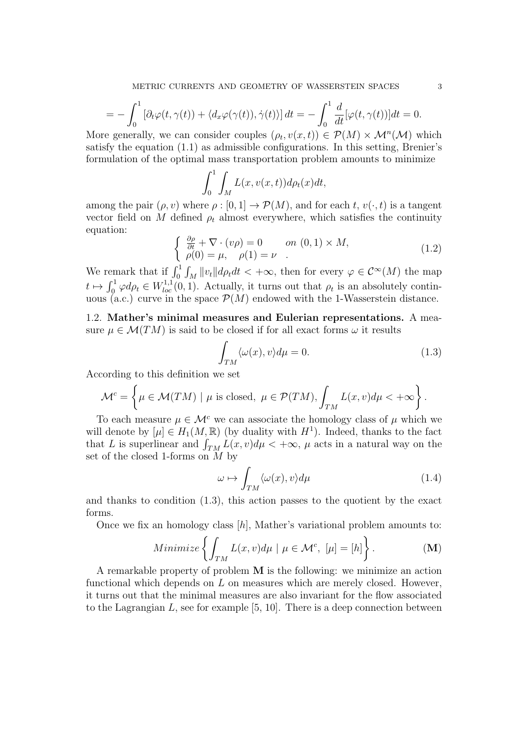$$
= -\int_0^1 \left[\partial_t \varphi(t, \gamma(t)) + \langle d_x \varphi(\gamma(t)), \dot{\gamma}(t) \rangle \right] dt = -\int_0^1 \frac{d}{dt} [\varphi(t, \gamma(t))] dt = 0.
$$

More generally, we can consider couples  $(\rho_t, v(x, t)) \in \mathcal{P}(M) \times \mathcal{M}^n(\mathcal{M})$  which satisfy the equation (1.1) as admissible configurations. In this setting, Brenier's formulation of the optimal mass transportation problem amounts to minimize

$$
\int_0^1 \int_M L(x, v(x, t)) d\rho_t(x) dt,
$$

among the pair  $(\rho, v)$  where  $\rho : [0, 1] \to \mathcal{P}(M)$ , and for each *t*,  $v(\cdot, t)$  is a tangent vector field on  $M$  defined  $\rho_t$  almost everywhere, which satisfies the continuity equation: vector field on *M* defined  $\rho_t$  almost everywhere, which satisfies the continuity<br>equation:<br> $\begin{cases} \frac{\partial \rho}{\partial t} + \nabla \cdot (\nu \rho) = 0 & \text{on } (0,1) \times M, \\ \rho(0) = \mu, & \rho(1) = \nu \end{cases}$ . (1.2)<br>We remark that if  $\int_0^1 \int_M ||v_t|| d\rho_t dt < +\infty$ , th

$$
\begin{cases}\n\frac{\partial \rho}{\partial t} + \nabla \cdot (v\rho) = 0 & \text{on } (0,1) \times M, \\
\rho(0) = \mu, \quad \rho(1) = \nu\n\end{cases} (1.2)
$$

 $t \mapsto \int_0^1$  $\phi_0^{-1} \varphi d\rho_t \in W_{loc}^{1,1}(0,1)$ . Actually, it turns out that  $\rho_t$  is an absolutely contin $u \mapsto \int_0^{\infty} \varphi \, d\rho_t \in W_{loc}(0, 1)$ . Actually, it turns out that  $\rho_t$  is an absolutely continuous (a.c.) curve in the space  $\mathcal{P}(M)$  endowed with the 1-Wasserstein distance.

1.2. **Mather's minimal measures and Eulerian representations.** A measure  $\mu \in \mathcal{M}(TM)$  is said to be closed if for all exact forms  $\omega$  it results

$$
\int_{TM} \langle \omega(x), v \rangle d\mu = 0. \tag{1.3}
$$

According to this definition we set

$$
\mathcal{M}^c = \left\{ \mu \in \mathcal{M}(TM) \mid \mu \text{ is closed}, \ \mu \in \mathcal{P}(TM), \int_{TM} L(x,v) d\mu < +\infty \right\}.
$$

To each measure  $\mu \in \mathcal{M}^c$  we can associate the homology class of  $\mu$  which we will denote by  $[\mu] \in H_1(M, \mathbb{R})$  (by duality with  $H^1$ ). Indeed, thanks to the fact  $\mathcal{M}^c = \left\{ \mu \in \mathcal{M}(TM) \mid \mu \text{ is closed}, \ \mu \in \mathcal{P}(TM), \int_{TM} L(x, v) d\mu < +\infty \right\}.$ <br>To each measure  $\mu \in \mathcal{M}^c$  we can associate the homology class of  $\mu$  which we will denote by  $[\mu] \in H_1(M, \mathbb{R})$  (by duality with  $H^1$ ). Indee set of the closed 1-forms on *M* by

$$
\omega \mapsto \int_{TM} \langle \omega(x), v \rangle d\mu \tag{1.4}
$$

and thanks to condition (1.3), this action passes to the quotient by the exact forms. *Condition (1.3*<br>an homology *Minimize*  $\begin{cases} \n\end{cases}$ 

Once we fix an homology class [*h*], Mather's variational problem amounts to:

Minimize 
$$
\left\{ \int_{TM} L(x, v) d\mu \mid \mu \in \mathcal{M}^c, \ [\mu] = [h] \right\}.
$$
 (M)

A remarkable property of problem **M** is the following: we minimize an action functional which depends on *L* on measures which are merely closed. However, it turns out that the minimal measures are also invariant for the flow associated to the Lagrangian *L*, see for example [5, 10]. There is a deep connection between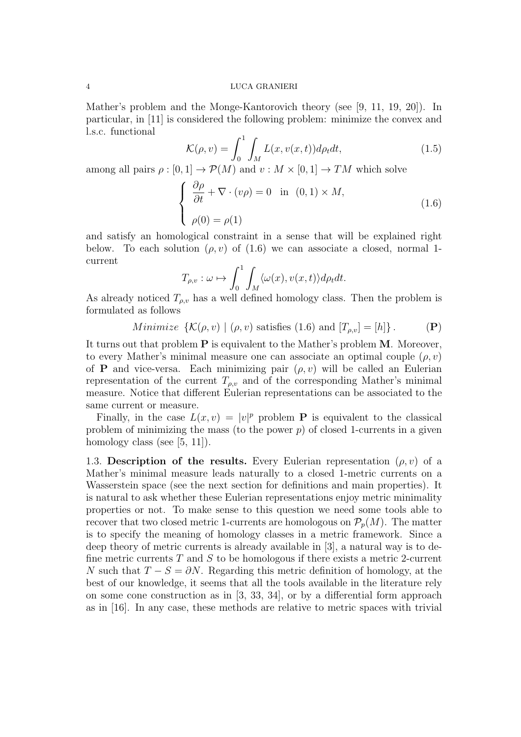Mather's problem and the Monge-Kantorovich theory (see [9, 11, 19, 20]). In particular, in [11] is considered the following problem: minimize the convex and l.s.c. functional *K*(*p*, *v*) =  $\int_0^1$ 

$$
\mathcal{K}(\rho, v) = \int_0^1 \int_M L(x, v(x, t)) d\rho_t dt,
$$
\n(1.5)

among all pairs  $\rho : [0,1] \to \mathcal{P}(M)$  and  $v : M \times [0,1] \to TM$  which solve

$$
\begin{cases}\n\frac{\partial \rho}{\partial t} + \nabla \cdot (v\rho) = 0 & \text{in } (0,1) \times M, \\
\rho(0) = \rho(1)\n\end{cases}
$$
\n(1.6)

and satisfy an homological constraint in a sense that will be explained right below. To each solution  $(\rho, v)$  of  $(1.6)$  we can associate a closed, normal 1current

$$
T_{\rho,v}: \omega \mapsto \int_0^1 \int_M \langle \omega(x), v(x,t) \rangle d\rho_t dt.
$$

As already noticed  $T_{\rho,\nu}$  has a well defined homology class. Then the problem is formulated as follows

Minimize 
$$
\{K(\rho, v) \mid (\rho, v)
$$
 satisfies (1.6) and  $[T_{\rho, v}] = [h]\}$ . (P)

It turns out that problem **P** is equivalent to the Mather's problem **M**. Moreover, to every Mather's minimal measure one can associate an optimal couple (*ρ, v*) of **P** and vice-versa. Each minimizing pair  $(\rho, v)$  will be called an Eulerian representation of the current  $T_{\rho,v}$  and of the corresponding Mather's minimal measure. Notice that different Eulerian representations can be associated to the same current or measure.

Finally, in the case  $L(x, v) = |v|^p$  problem **P** is equivalent to the classical problem of minimizing the mass (to the power  $p$ ) of closed 1-currents in a given homology class (see  $[5, 11]$ ).

1.3. **Description of the results.** Every Eulerian representation  $(\rho, v)$  of a Mather's minimal measure leads naturally to a closed 1-metric currents on a Wasserstein space (see the next section for definitions and main properties). It is natural to ask whether these Eulerian representations enjoy metric minimality properties or not. To make sense to this question we need some tools able to recover that two closed metric 1-currents are homologous on  $\mathcal{P}_p(M)$ . The matter is to specify the meaning of homology classes in a metric framework. Since a deep theory of metric currents is already available in [3], a natural way is to define metric currents *T* and *S* to be homologous if there exists a metric 2-current *N* such that  $T - S = \partial N$ . Regarding this metric definition of homology, at the best of our knowledge, it seems that all the tools available in the literature rely on some cone construction as in [3, 33, 34], or by a differential form approach as in [16]. In any case, these methods are relative to metric spaces with trivial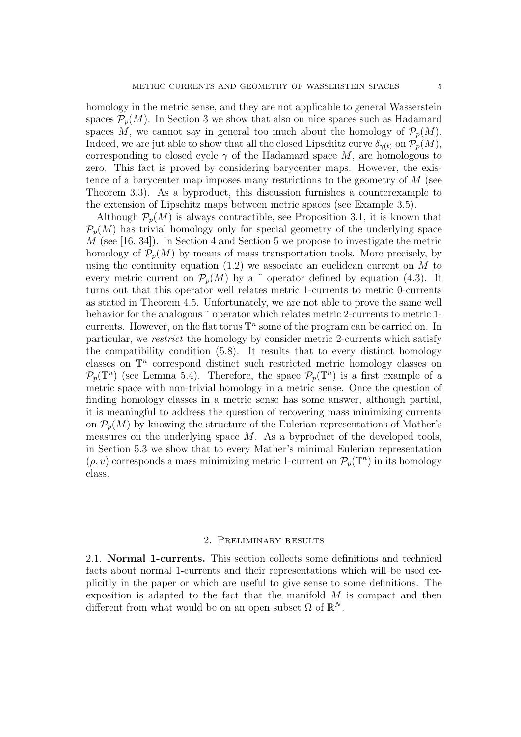homology in the metric sense, and they are not applicable to general Wasserstein spaces  $P_p(M)$ . In Section 3 we show that also on nice spaces such as Hadamard spaces *M*, we cannot say in general too much about the homology of  $\mathcal{P}_p(M)$ . Indeed, we are jut able to show that all the closed Lipschitz curve  $\delta_{\gamma(t)}$  on  $\mathcal{P}_p(M)$ , corresponding to closed cycle  $\gamma$  of the Hadamard space M, are homologous to zero. This fact is proved by considering barycenter maps. However, the existence of a barycenter map imposes many restrictions to the geometry of *M* (see Theorem 3.3). As a byproduct, this discussion furnishes a counterexample to the extension of Lipschitz maps between metric spaces (see Example 3.5).

Although  $P_p(M)$  is always contractible, see Proposition 3.1, it is known that  $P_p(M)$  has trivial homology only for special geometry of the underlying space *M* (see [16, 34]). In Section 4 and Section 5 we propose to investigate the metric homology of  $\mathcal{P}_p(M)$  by means of mass transportation tools. More precisely, by using the continuity equation (1.2) we associate an euclidean current on *M* to every metric current on  $\mathcal{P}_p(M)$  by a  $\tilde{ }$  operator defined by equation (4.3). It turns out that this operator well relates metric 1-currents to metric 0-currents as stated in Theorem 4.5. Unfortunately, we are not able to prove the same well behavior for the analogous  $\tilde{\phantom{a}}$  operator which relates metric 2-currents to metric 1currents. However, on the flat torus  $\mathbb{T}^n$  some of the program can be carried on. In particular, we *restrict* the homology by consider metric 2-currents which satisfy the compatibility condition (5.8). It results that to every distinct homology classes on  $\mathbb{T}^n$  correspond distinct such restricted metric homology classes on  $\mathcal{P}_p(\mathbb{T}^n)$  (see Lemma 5.4). Therefore, the space  $\mathcal{P}_p(\mathbb{T}^n)$  is a first example of a metric space with non-trivial homology in a metric sense. Once the question of finding homology classes in a metric sense has some answer, although partial, it is meaningful to address the question of recovering mass minimizing currents on  $\mathcal{P}_p(M)$  by knowing the structure of the Eulerian representations of Mather's measures on the underlying space *M*. As a byproduct of the developed tools, in Section 5.3 we show that to every Mather's minimal Eulerian representation  $(\rho, v)$  corresponds a mass minimizing metric 1-current on  $\mathcal{P}_p(\mathbb{T}^n)$  in its homology class.

## 2. Preliminary results

2.1. **Normal 1-currents.** This section collects some definitions and technical facts about normal 1-currents and their representations which will be used explicitly in the paper or which are useful to give sense to some definitions. The exposition is adapted to the fact that the manifold *M* is compact and then different from what would be on an open subset  $\Omega$  of  $\mathbb{R}^N$ .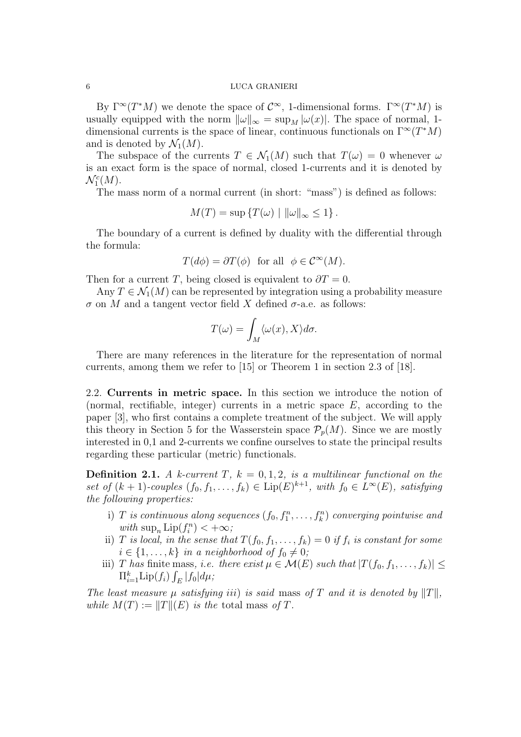By  $\Gamma^\infty(T^*M)$  we denote the space of  $\mathcal{C}^\infty$ , 1-dimensional forms.  $\Gamma^\infty(T^*M)$  is usually equipped with the norm  $\|\omega\|_{\infty} = \sup_{M} |\omega(x)|$ . The space of normal, 1dimensional currents is the space of linear, continuous functionals on Γ*∞*(*T <sup>∗</sup>M*) and is denoted by  $\mathcal{N}_1(M)$ .

The subspace of the currents  $T \in \mathcal{N}_1(M)$  such that  $T(\omega) = 0$  whenever  $\omega$ is an exact form is the space of normal, closed 1-currents and it is denoted by  $\mathcal{N}_1^c(M)$ .

The mass norm of a normal current (in short: "mass") is defined as follows:

$$
M(T) = \sup \{ T(\omega) \mid ||\omega||_{\infty} \le 1 \}.
$$

The boundary of a current is defined by duality with the differential through the formula:

$$
T(d\phi) = \partial T(\phi) \text{ for all } \phi \in C^{\infty}(M).
$$

Then for a current *T*, being closed is equivalent to  $\partial T = 0$ .

Any  $T \in \mathcal{N}_1(M)$  can be represented by integration using a probability measure *σ* on *M* and a tangent vector field *X* defined *σ*-a.e. as follows: closed is<br>presented<br>or field X<br> $T(\omega) = \int$ 

$$
T(\omega) = \int_M \langle \omega(x), X \rangle d\sigma.
$$

There are many references in the literature for the representation of normal currents, among them we refer to [15] or Theorem 1 in section 2.3 of [18].

2.2. **Currents in metric space.** In this section we introduce the notion of (normal, rectifiable, integer) currents in a metric space *E*, according to the paper [3], who first contains a complete treatment of the subject. We will apply this theory in Section 5 for the Wasserstein space  $\mathcal{P}_p(M)$ . Since we are mostly interested in 0,1 and 2-currents we confine ourselves to state the principal results regarding these particular (metric) functionals.

**Definition 2.1.** *A k-current T,*  $k = 0, 1, 2$ *, is a multilinear functional on the set of*  $(k + 1)$ *-couples*  $(f_0, f_1, \ldots, f_k) \in \text{Lip}(E)^{k+1}$ *, with*  $f_0 \in L^{\infty}(E)$ *, satisfying the following properties:*

- i) *T is continuous along sequences*  $(f_0, f_1^n, \ldots, f_k^n)$  *converging pointwise and with* sup*<sup>n</sup>* Lip(*f n i* ) *<* +*∞;* ∫
- ii) *T is local, in the sense that*  $T(f_0, f_1, \ldots, f_k) = 0$  *if*  $f_i$  *is constant for some*  $i \in \{1, \ldots, k\}$  *in a neighborhood of*  $f_0 \neq 0$ *;*
- iii) *T has* finite mass, *i.e.* there exist  $\mu \in \mathcal{M}(E)$  such that  $|T(f_0, f_1, \ldots, f_k)| \leq$  $\prod_{i=1}^{k}$   $\text{Lip}(f_i) \int_E |f_0| d\mu;$

*The least measure*  $\mu$  *satisfying iii*) *is said* mass *of*  $T$  *and it is denoted by*  $||T||$ *, while*  $M(T) := ||T||(E)$  *is the* total mass *of*  $T$ *.*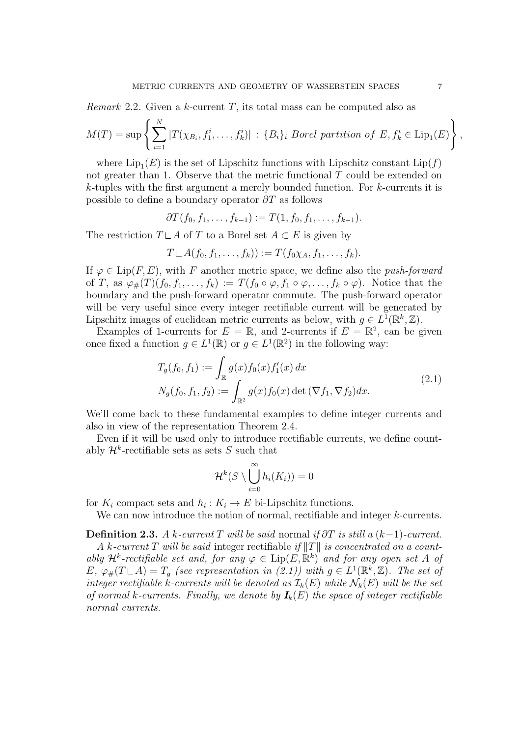*Remark* 2.2*.* Given a *k*-current *T*, its total mass can be computed also as

METRIC CURRENTS AND GEOMETRY OF WASSERSTEIN SPACES 7  
\n*Remark* 2.2. Given a *k*-current *T*, its total mass can be computed also as  
\n
$$
M(T) = \sup \left\{ \sum_{i=1}^{N} |T(\chi_{B_i}, f_1^i, \ldots, f_k^i)| : \{B_i\}_i \text{ Borel partition of } E, f_k^i \in \text{Lip}_1(E) \right\},
$$

where  $\text{Lip}_1(E)$  is the set of Lipschitz functions with Lipschitz constant  $\text{Lip}(f)$ not greater than 1. Observe that the metric functional *T* could be extended on *k*-tuples with the first argument a merely bounded function. For *k*-currents it is possible to define a boundary operator *∂T* as follows

$$
\partial T(f_0, f_1, \ldots, f_{k-1}) := T(1, f_0, f_1, \ldots, f_{k-1}).
$$

The restriction  $T \sqcup A$  of *T* to a Borel set  $A \subset E$  is given by

$$
T \sqcup A(f_0, f_1, \ldots, f_k)) := T(f_0 \chi_A, f_1, \ldots, f_k).
$$

If  $\varphi \in \text{Lip}(F, E)$ , with *F* another metric space, we define also the *push-forward* of *T*, as  $\varphi_{\#}(T)(f_0, f_1, \ldots, f_k) := T(f_0 \circ \varphi, f_1 \circ \varphi, \ldots, f_k \circ \varphi)$ . Notice that the boundary and the push-forward operator commute. The push-forward operator will be very useful since every integer rectifiable current will be generated by Lipschitz images of euclidean metric currents as below, with  $g \in L^1(\mathbb{R}^k, \mathbb{Z})$ .

Examples of 1-currents for  $E = \mathbb{R}$ , and 2-currents if  $E = \mathbb{R}^2$ , can be given once fixed a function  $g \in L^1(\mathbb{R})$  or  $g \in L^1(\mathbb{R}^2)$  in the following way: ful since every<br>*z* of euclidean *i*<br>1-currents for<br>ction  $g \in L^1(\mathbb{R}^d)$ <br> $T_g(f_0, f_1) :=$ 

1-currents for 
$$
E = \mathbb{R}
$$
, and 2-currents if  $E = \mathbb{R}^2$ , can be given  
cction  $g \in L^1(\mathbb{R})$  or  $g \in L^1(\mathbb{R}^2)$  in the following way:  

$$
T_g(f_0, f_1) := \int_{\mathbb{R}} g(x) f_0(x) f'_1(x) dx
$$

$$
N_g(f_0, f_1, f_2) := \int_{\mathbb{R}^2} g(x) f_0(x) \det (\nabla f_1, \nabla f_2) dx.
$$
 (2.1)

We'll come back to these fundamental examples to define integer currents and also in view of the representation Theorem 2.4.

Even if it will be used only to introduce rectifiable currents, we define countably  $\mathcal{H}^k$ -rectifiable sets as sets *S* such that

$$
\mathcal{H}^k(S \setminus \bigcup_{i=0}^{\infty} h_i(K_i)) = 0
$$

for  $K_i$  compact sets and  $h_i: K_i \to E$  bi-Lipschitz functions.

We can now introduce the notion of normal, rectifiable and integer *k*-currents.

**Definition 2.3.** *A*  $k$ -current  $T$  will be said normal if  $\partial T$  is still a  $(k-1)$ -current.

*A k-current T will be said* integer rectifiable *if ∥T∥ is concentrated on a countably*  $\mathcal{H}^k$ -rectifiable set and, for any  $\varphi \in \text{Lip}(E, \mathbb{R}^k)$  and for any open set A of  $E, \varphi_{\#}(T \sqcup A) = T_g$  *(see representation in (2.1)) with*  $g \in L^1(\mathbb{R}^k, \mathbb{Z})$ *. The set of integer rectifiable k*-*currents will be denoted as*  $\mathcal{I}_k(E)$  *while*  $\mathcal{N}_k(E)$  *will be the set of normal k-currents. Finally, we denote by*  $I_k(E)$  *the space of integer rectifiable normal currents.*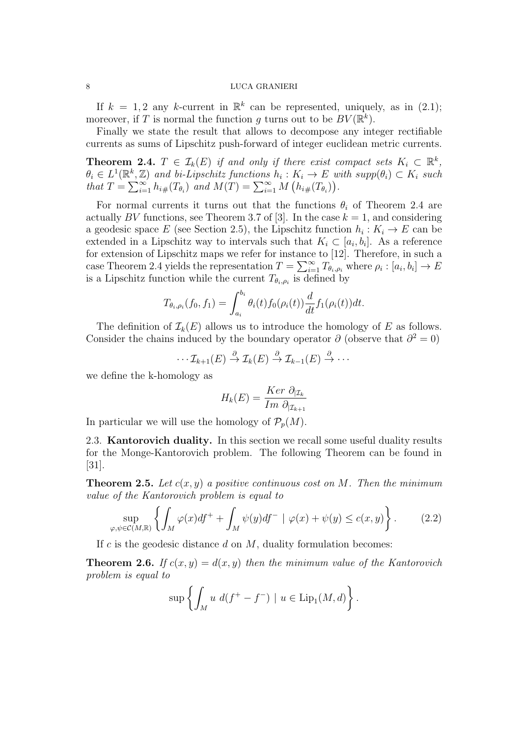If  $k = 1, 2$  any *k*-current in  $\mathbb{R}^k$  can be represented, uniquely, as in (2.1); moreover, if *T* is normal the function *g* turns out to be  $BV(\mathbb{R}^k)$ .

Finally we state the result that allows to decompose any integer rectifiable currents as sums of Lipschitz push-forward of integer euclidean metric currents.

**Theorem 2.4.**  $T \in \mathcal{I}_k(E)$  if and only if there exist compact sets  $K_i \subset \mathbb{R}^k$ ,  $\theta_i \in L^1(\mathbb{R}^k, \mathbb{Z})$  and bi-Lipschitz functions  $h_i: K_i \to E$  with  $supp(\theta_i) \subset K_i$  such Finally we state the result that allows to decompose<br>currents as sums of Lipschitz push-forward of integer euc<br>**Theorem 2.4.**  $T \in \mathcal{I}_k(E)$  *if and only if there exist c*<br> $\theta_i \in L^1(\mathbb{R}^k, \mathbb{Z})$  *and bi-Lipschitz funct* 

For normal currents it turns out that the functions  $\theta_i$  of Theorem 2.4 are actually *BV* functions, see Theorem 3.7 of [3]. In the case  $k = 1$ , and considering a geodesic space *E* (see Section 2.5), the Lipschitz function  $h_i: K_i \to E$  can be extended in a Lipschitz way to intervals such that  $K_i \subset [a_i, b_i]$ . As a reference for extension of Lipschitz maps we refer for instance to [12]. Therefore, in such a case Theorem 2.4 yields the representation  $T = \sum_{i=1}^{\infty} T_{\theta_i, \rho_i}$  where  $\rho_i : [a_i, b_i] \to E$ is a Lipschitz function while the current  $T_{\theta_i, \rho_i}$  is defined by for the same of the same of the represent  $(f_0, f_1) = \int^{b_i}$ 

$$
T_{\theta_i,\rho_i}(f_0,f_1) = \int_{a_i}^{b_i} \theta_i(t) f_0(\rho_i(t)) \frac{d}{dt} f_1(\rho_i(t)) dt.
$$

The definition of  $\mathcal{I}_k(E)$  allows us to introduce the homology of E as follows. Consider the chains induced by the boundary operator  $\partial$  (observe that  $\partial^2 = 0$ )

$$
\cdots \mathcal{I}_{k+1}(E) \stackrel{\partial}{\rightarrow} \mathcal{I}_k(E) \stackrel{\partial}{\rightarrow} \mathcal{I}_{k-1}(E) \stackrel{\partial}{\rightarrow} \cdots
$$

we define the k-homology as

$$
H_k(E) = \frac{Ker \partial_{|\mathcal{I}_k}}{Im \partial_{|\mathcal{I}_{k+1}}}
$$

In particular we will use the homology of  $P_p(M)$ .

2.3. **Kantorovich duality.** In this section we recall some useful duality results for the Monge-Kantorovich problem. The following Theorem can be found in [31].

**Theorem 2.5.** *Let c*(*x, y*) *a positive continuous cost on M. Then the minimum value of the Kantorovich problem is equal to*

$$
\sup_{\varphi,\psi \in \mathcal{C}(M,\mathbb{R})} \left\{ \int_M \varphi(x) df^+ + \int_M \psi(y) df^- \mid \varphi(x) + \psi(y) \le c(x,y) \right\}.
$$
 (2.2)

If *c* is the geodesic distance *d* on *M*, duality formulation becomes:

**Theorem 2.6.** *If*  $c(x, y) = d(x, y)$  *then the minimum value of the Kantorovich problem is equal to* sic dist<br> $c(x, y)$ <br> $\sup \left\{ \right.$ 

$$
\sup \left\{ \int_M u \ d(f^+ - f^-) \mid u \in \text{Lip}_1(M, d) \right\}.
$$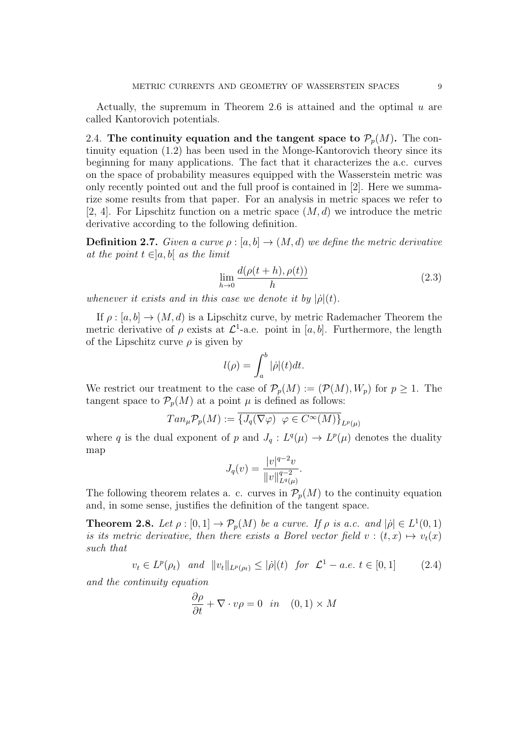2.4. The continuity equation and the tangent space to  $\mathcal{P}_p(M)$ . The continuity equation (1.2) has been used in the Monge-Kantorovich theory since its beginning for many applications. The fact that it characterizes the a.c. curves on the space of probability measures equipped with the Wasserstein metric was only recently pointed out and the full proof is contained in [2]. Here we summarize some results from that paper. For an analysis in metric spaces we refer to [2, 4]. For Lipschitz function on a metric space (*M, d*) we introduce the metric derivative according to the following definition.

**Definition 2.7.** *Given a curve*  $\rho : [a, b] \rightarrow (M, d)$  *we define the metric derivative at the point*  $t \in ]a, b[$  *as the limit* 

$$
\lim_{h \to 0} \frac{d(\rho(t+h), \rho(t))}{h} \tag{2.3}
$$

*whenever it exists and in this case we denote it by*  $|\dot{\rho}|(t)$ .

called Kantorovich potentials.

If  $\rho : [a, b] \to (M, d)$  is a Lipschitz curve, by metric Rademacher Theorem the metric derivative of  $\rho$  exists at  $\mathcal{L}^1$ -a.e. point in [a, b]. Furthermore, the length of the Lipschitz curve  $\rho$  is given by *l*(*p*) =  $\int_0^b$  *l*(*p*) =  $\int_0^b$ 

$$
l(\rho) = \int_a^b |\dot{\rho}|(t)dt.
$$

We restrict our treatment to the case of  $\mathcal{P}_p(M) := (\mathcal{P}(M), W_p)$  for  $p \geq 1$ . The tangent space to  $\mathcal{P}_p(M)$  at a point  $\mu$  is defined as follows:

$$
Tan_{\mu} \mathcal{P}_p(M) := \overline{\{J_q(\nabla \varphi) \ \varphi \in C^{\infty}(M)\}}_{L^p(\mu)}
$$

where *q* is the dual exponent of *p* and  $J_q: L^q(\mu) \to L^p(\mu)$  denotes the duality map

$$
J_q(v) = \frac{|v|^{q-2}v}{\|v\|_{L^q(\mu)}^{q-2}}.
$$

The following theorem relates a. c. curves in  $\mathcal{P}_p(M)$  to the continuity equation and, in some sense, justifies the definition of the tangent space.

**Theorem 2.8.** *Let*  $\rho : [0,1] \to \mathcal{P}_p(M)$  *be a curve. If*  $\rho$  *is a.c. and*  $|\dot{\rho}| \in L^1(0,1)$ *is its metric derivative, then there exists a Borel vector field*  $v : (t, x) \mapsto v_t(x)$ *such that*

$$
v_t \in L^p(\rho_t) \quad \text{and} \quad \|v_t\|_{L^p(\rho_t)} \le |\dot{\rho}|(t) \quad \text{for} \quad \mathcal{L}^1 - a.e. \quad t \in [0, 1] \tag{2.4}
$$

*and the continuity equation*

$$
\frac{\partial \rho}{\partial t} + \nabla \cdot v\rho = 0 \quad in \quad (0,1) \times M
$$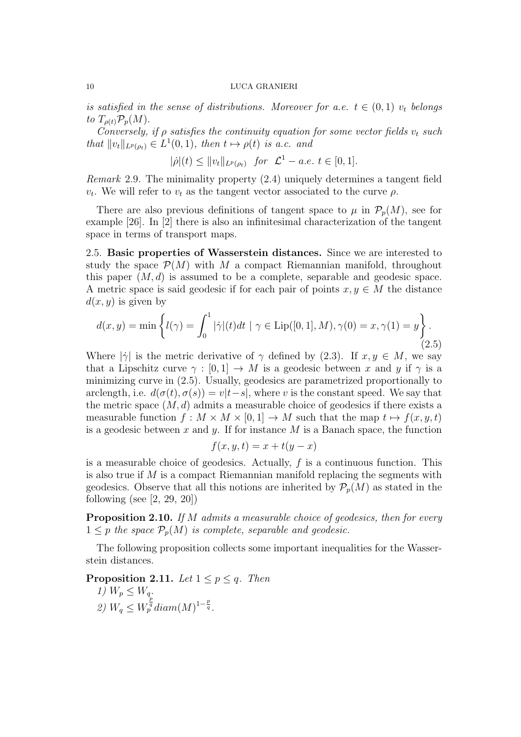*is satisfied in the sense of distributions. Moreover for a.e.*  $t \in (0,1)$   $v_t$  *belongs to*  $T_{\rho(t)} \mathcal{P}_p(M)$ *.* 

 $Conversely, if  $\rho$  satisfies the continuity equation for some vector fields  $v_t$  such$ *that*  $||v_t||_{L^p(\rho_t)} \in L^1(0,1)$ *, then*  $t \mapsto \rho(t)$  *is a.c. and* 

$$
|\dot{\rho}|(t) \leq ||v_t||_{L^p(\rho_t)}
$$
 for  $\mathcal{L}^1 - a.e. t \in [0, 1].$ 

*Remark* 2.9*.* The minimality property (2.4) uniquely determines a tangent field *v*<sub>*t*</sub>. We will refer to  $v_t$  as the tangent vector associated to the curve *ρ*.

There are also previous definitions of tangent space to  $\mu$  in  $\mathcal{P}_p(M)$ , see for example [26]. In [2] there is also an infinitesimal characterization of the tangent space in terms of transport maps.

2.5. **Basic properties of Wasserstein distances.** Since we are interested to study the space  $\mathcal{P}(M)$  with M a compact Riemannian manifold, throughout this paper  $(M, d)$  is assumed to be a complete, separable and geodesic space. A metric space is said geodesic if for each pair of points  $x, y \in M$  the distance  $d(x, y)$  is given by *ddy* the space  $\mathcal{P}(M)$  with<br>is paper  $(M, d)$  is assume<br>metric space is said geoder,<br> $x, y$  is given by<br> $d(x, y) = \min \{l(\gamma) = \int_0^1$ 

$$
d(x,y) = \min\left\{l(\gamma) = \int_0^1 |\dot{\gamma}|(t)dt \mid \gamma \in \text{Lip}([0,1], M), \gamma(0) = x, \gamma(1) = y\right\}.
$$
\n(2.5)

Where  $|\dot{\gamma}|$  is the metric derivative of  $\gamma$  defined by (2.3). If  $x, y \in M$ , we say that a Lipschitz curve  $\gamma : [0,1] \to M$  is a geodesic between *x* and *y* if  $\gamma$  is a minimizing curve in (2.5). Usually, geodesics are parametrized proportionally to arclength, i.e.  $d(\sigma(t), \sigma(s)) = v|t-s|$ , where *v* is the constant speed. We say that the metric space  $(M, d)$  admits a measurable choice of geodesics if there exists a measurable function  $f : M \times M \times [0,1] \to M$  such that the map  $t \mapsto f(x, y, t)$ is a geodesic between *x* and *y*. If for instance *M* is a Banach space, the function

$$
f(x, y, t) = x + t(y - x)
$$

is a measurable choice of geodesics. Actually, *f* is a continuous function. This is also true if *M* is a compact Riemannian manifold replacing the segments with geodesics. Observe that all this notions are inherited by  $\mathcal{P}_p(M)$  as stated in the following (see [2, 29, 20])

**Proposition 2.10.** *If M admits a measurable choice of geodesics, then for every*  $1 \leq p$  *the space*  $P_p(M)$  *is complete, separable and geodesic.* 

The following proposition collects some important inequalities for the Wasserstein distances.

**Proposition 2.11.** *Let*  $1 \leq p \leq q$ *. Then 1)*  $W_p \leq W_q$ . *2*)  $W_q \leq W_p^{\frac{p}{q}} \operatorname{diam}(M)^{1-\frac{p}{q}}.$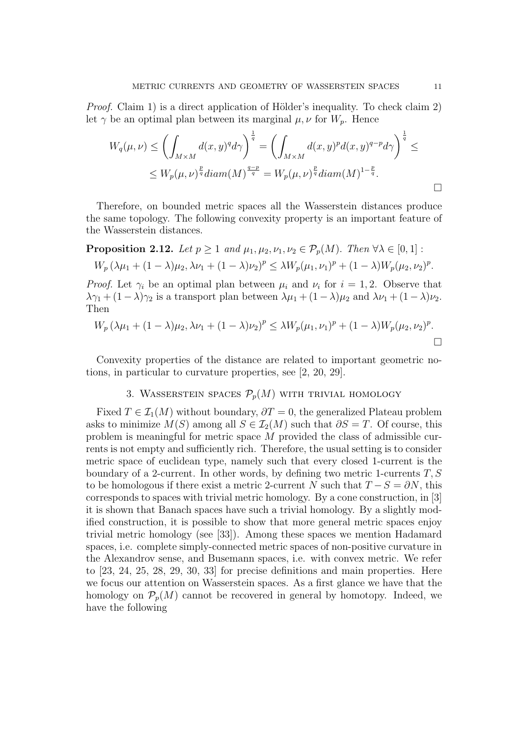*Proof.* Claim 1) is a direct application of Hölder's inequality. To check claim 2) let  $\gamma$  be an optimal plan between its marginal  $\mu, \nu$  for  $W_p$ . Hence D GE(<br>cation<br>its 1<br> $dγ$ <sup>1</sup>  $\frac{\text{CES}}{\text{det} \lambda}$ 

$$
W_q(\mu, \nu) \le \left(\int_{M \times M} d(x, y)^q d\gamma\right)^{\frac{1}{q}} = \left(\int_{M \times M} d(x, y)^p d(x, y)^{q-p} d\gamma\right)^{\frac{1}{q}} \le
$$
  

$$
\le W_p(\mu, \nu)^{\frac{p}{q}} \operatorname{diam}(M)^{\frac{q-p}{q}} = W_p(\mu, \nu)^{\frac{p}{q}} \operatorname{diam}(M)^{1-\frac{p}{q}}.
$$

Therefore, on bounded metric spaces all the Wasserstein distances produce the same topology. The following convexity property is an important feature of the Wasserstein distances.

**Proposition 2.12.** Let 
$$
p \ge 1
$$
 and  $\mu_1, \mu_2, \nu_1, \nu_2 \in \mathcal{P}_p(M)$ . Then  $\forall \lambda \in [0, 1]$ :  
\n
$$
W_p(\lambda \mu_1 + (1 - \lambda)\mu_2, \lambda \nu_1 + (1 - \lambda)\nu_2)^p \le \lambda W_p(\mu_1, \nu_1)^p + (1 - \lambda)W_p(\mu_2, \nu_2)^p.
$$

*Proof.* Let  $\gamma_i$  be an optimal plan between  $\mu_i$  and  $\nu_i$  for  $i = 1, 2$ . Observe that  $\lambda \gamma_1 + (1 - \lambda)\gamma_2$  is a transport plan between  $\lambda \mu_1 + (1 - \lambda)\mu_2$  and  $\lambda \nu_1 + (1 - \lambda)\nu_2$ . Then

$$
W_p(\lambda \mu_1 + (1 - \lambda)\mu_2, \lambda \nu_1 + (1 - \lambda)\nu_2)^p \le \lambda W_p(\mu_1, \nu_1)^p + (1 - \lambda)W_p(\mu_2, \nu_2)^p.
$$

Convexity properties of the distance are related to important geometric notions, in particular to curvature properties, see [2, 20, 29].

## 3. WASSERSTEIN SPACES  $\mathcal{P}_p(M)$  with trivial homology

Fixed  $T \in \mathcal{I}_1(M)$  without boundary,  $\partial T = 0$ , the generalized Plateau problem asks to minimize  $M(S)$  among all  $S \in \mathcal{I}_2(M)$  such that  $\partial S = T$ . Of course, this problem is meaningful for metric space *M* provided the class of admissible currents is not empty and sufficiently rich. Therefore, the usual setting is to consider metric space of euclidean type, namely such that every closed 1-current is the boundary of a 2-current. In other words, by defining two metric 1-currents *T, S* to be homologous if there exist a metric 2-current *N* such that  $T-S = \partial N$ , this corresponds to spaces with trivial metric homology. By a cone construction, in [3] it is shown that Banach spaces have such a trivial homology. By a slightly modified construction, it is possible to show that more general metric spaces enjoy trivial metric homology (see [33]). Among these spaces we mention Hadamard spaces, i.e. complete simply-connected metric spaces of non-positive curvature in the Alexandrov sense, and Busemann spaces, i.e. with convex metric. We refer to [23, 24, 25, 28, 29, 30, 33] for precise definitions and main properties. Here we focus our attention on Wasserstein spaces. As a first glance we have that the homology on  $\mathcal{P}_p(M)$  cannot be recovered in general by homotopy. Indeed, we have the following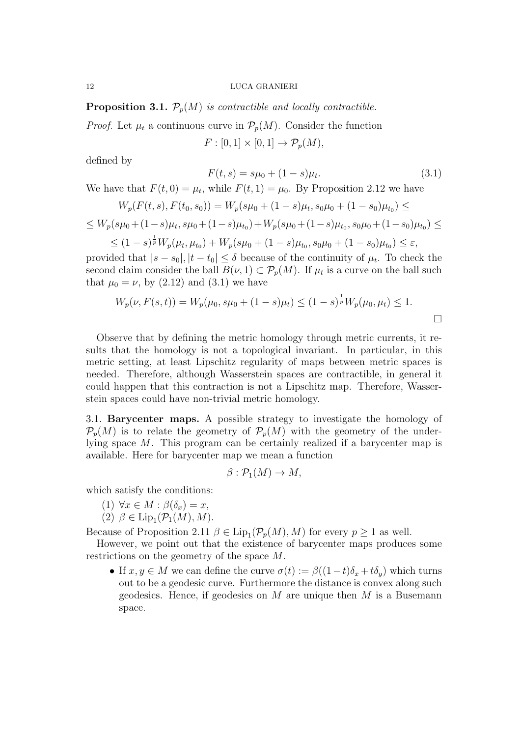**Proposition 3.1.**  $\mathcal{P}_p(M)$  *is contractible and locally contractible.* 

*Proof.* Let  $\mu_t$  a continuous curve in  $\mathcal{P}_p(M)$ . Consider the function

 $F: [0, 1] \times [0, 1] \rightarrow \mathcal{P}_p(M)$ ,

defined by

$$
F(t,s) = s\mu_0 + (1-s)\mu_t.
$$
\n(3.1)

We have that  $F(t, 0) = \mu_t$ , while  $F(t, 1) = \mu_0$ . By Proposition 2.12 we have

$$
W_p(F(t,s), F(t_0, s_0)) = W_p(s\mu_0 + (1 - s)\mu_t, s_0\mu_0 + (1 - s_0)\mu_{t_0}) \le
$$
  
\n
$$
\le W_p(s\mu_0 + (1 - s)\mu_t, s\mu_0 + (1 - s)\mu_{t_0}) + W_p(s\mu_0 + (1 - s)\mu_{t_0}, s_0\mu_0 + (1 - s_0)\mu_{t_0}) \le
$$
  
\n
$$
\le (1 - s)^{\frac{1}{p}} W_p(\mu_t, \mu_{t_0}) + W_p(s\mu_0 + (1 - s)\mu_{t_0}, s_0\mu_0 + (1 - s_0)\mu_{t_0}) \le \varepsilon,
$$

provided that  $|s - s_0|, |t - t_0| \leq \delta$  because of the continuity of  $\mu_t$ . To check the second claim consider the ball  $B(\nu, 1) \subset \mathcal{P}_p(M)$ . If  $\mu_t$  is a curve on the ball such that  $\mu_0 = \nu$ , by (2.12) and (3.1) we have

$$
W_p(\nu, F(s, t)) = W_p(\mu_0, s\mu_0 + (1 - s)\mu_t) \le (1 - s)^{\frac{1}{p}} W_p(\mu_0, \mu_t) \le 1.
$$

Observe that by defining the metric homology through metric currents, it results that the homology is not a topological invariant. In particular, in this metric setting, at least Lipschitz regularity of maps between metric spaces is needed. Therefore, although Wasserstein spaces are contractible, in general it could happen that this contraction is not a Lipschitz map. Therefore, Wasserstein spaces could have non-trivial metric homology.

3.1. **Barycenter maps.** A possible strategy to investigate the homology of  $\mathcal{P}_p(M)$  is to relate the geometry of  $\mathcal{P}_p(M)$  with the geometry of the underlying space *M*. This program can be certainly realized if a barycenter map is available. Here for barycenter map we mean a function

$$
\beta: \mathcal{P}_1(M) \to M,
$$

which satisfy the conditions:

- (1) *∀x ∈ M* : *β*(*δx*) = *x*,
- $(2)$   $\beta \in \text{Lip}_1(\mathcal{P}_1(M), M).$

Because of Proposition 2.11  $\beta \in \text{Lip}_{1}(\mathcal{P}_{p}(M), M)$  for every  $p \geq 1$  as well.

However, we point out that the existence of barycenter maps produces some restrictions on the geometry of the space *M*.

• If  $x, y \in M$  we can define the curve  $\sigma(t) := \beta((1-t)\delta_x + t\delta_y)$  which turns out to be a geodesic curve. Furthermore the distance is convex along such geodesics. Hence, if geodesics on *M* are unique then *M* is a Busemann space.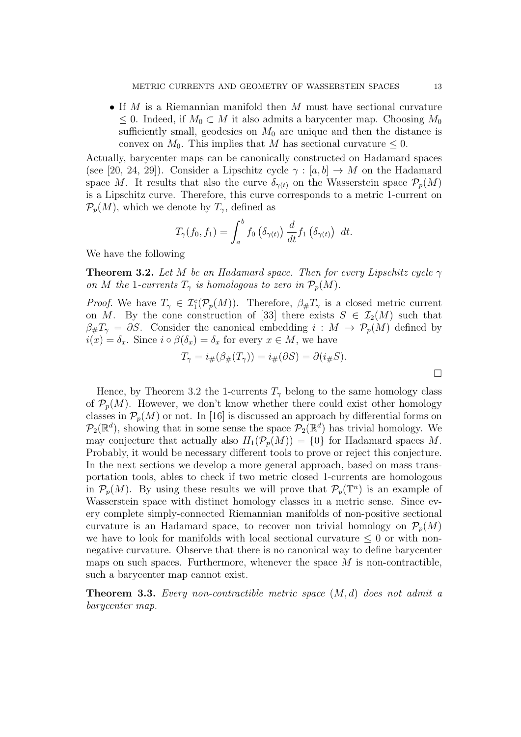*•* If *M* is a Riemannian manifold then *M* must have sectional curvature  $≤$  0. Indeed, if  $M_0$  *⊂ M* it also admits a barycenter map. Choosing  $M_0$ sufficiently small, geodesics on  $M_0$  are unique and then the distance is convex on  $M_0$ . This implies that M has sectional curvature  $\leq 0$ .

Actually, barycenter maps can be canonically constructed on Hadamard spaces (see [20, 24, 29]). Consider a Lipschitz cycle  $\gamma : [a, b] \to M$  on the Hadamard space *M*. It results that also the curve  $\delta_{\gamma(t)}$  on the Wasserstein space  $\mathcal{P}_p(M)$ is a Lipschitz curve. Therefore, this curve corresponds to a metric 1-current on  $\mathcal{P}_p(M)$ , which we denote by  $T_\gamma$ , defined as Consider a Lipschitz cycle  $\gamma : [a, b]$  *T*<br> *Therefore, this curve corresponds the curve corresponds the W*  $T_{\gamma}$ *, defined as<br>*  $T_{\gamma}(f_0, f_1) = \int^b f_0(\delta_{\gamma(t)}) \frac{d}{dt} f_1(\delta_{\gamma(t)})$ 

$$
T_{\gamma}(f_0, f_1) = \int_a^b f_0\left(\delta_{\gamma(t)}\right) \frac{d}{dt} f_1\left(\delta_{\gamma(t)}\right) dt.
$$

We have the following

**Theorem 3.2.** Let *M* be an Hadamard space. Then for every Lipschitz cycle  $\gamma$ *on M* the 1-currents  $T_\gamma$  *is homologous to zero in*  $\mathcal{P}_p(M)$ *.* 

*Proof.* We have  $T_{\gamma} \in \mathcal{I}_{1}^{c}(\mathcal{P}_{p}(M))$ . Therefore,  $\beta_{\#}T_{\gamma}$  is a closed metric current on *M*. By the cone construction of [33] there exists  $S \in \mathcal{I}_2(M)$  such that  $\beta_{\#}T_{\gamma} = \partial S$ . Consider the canonical embedding *i* :  $M \to \mathcal{P}_p(M)$  defined by  $i(x) = \delta_x$ . Since  $i \circ \beta(\delta_x) = \delta_x$  for every  $x \in M$ , we have

$$
T_{\gamma} = i_{\#}(\beta_{\#}(T_{\gamma})) = i_{\#}(\partial S) = \partial(i_{\#}S).
$$

Hence, by Theorem 3.2 the 1-currents  $T_\gamma$  belong to the same homology class of  $P_p(M)$ . However, we don't know whether there could exist other homology classes in  $\mathcal{P}_p(M)$  or not. In [16] is discussed an approach by differential forms on  $\mathcal{P}_2(\mathbb{R}^d)$ , showing that in some sense the space  $\mathcal{P}_2(\mathbb{R}^d)$  has trivial homology. We may conjecture that actually also  $H_1(\mathcal{P}_p(M)) = \{0\}$  for Hadamard spaces M. Probably, it would be necessary different tools to prove or reject this conjecture. In the next sections we develop a more general approach, based on mass transportation tools, ables to check if two metric closed 1-currents are homologous in  $P_p(M)$ . By using these results we will prove that  $P_p(\mathbb{T}^n)$  is an example of Wasserstein space with distinct homology classes in a metric sense. Since every complete simply-connected Riemannian manifolds of non-positive sectional curvature is an Hadamard space, to recover non trivial homology on  $\mathcal{P}_p(M)$ we have to look for manifolds with local sectional curvature  $\leq 0$  or with nonnegative curvature. Observe that there is no canonical way to define barycenter maps on such spaces. Furthermore, whenever the space *M* is non-contractible, such a barycenter map cannot exist.

**Theorem 3.3.** *Every non-contractible metric space* (*M, d*) *does not admit a barycenter map.*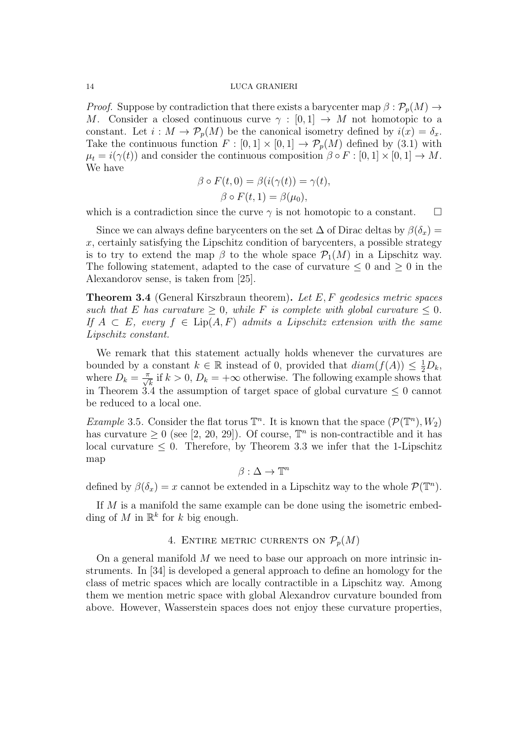*Proof.* Suppose by contradiction that there exists a barycenter map  $\beta$  :  $\mathcal{P}_p(M) \rightarrow$ *M*. Consider a closed continuous curve  $\gamma : [0,1] \rightarrow M$  not homotopic to a constant. Let  $i : M \to \mathcal{P}_p(M)$  be the canonical isometry defined by  $i(x) = \delta_x$ . Take the continuous function  $F : [0,1] \times [0,1] \rightarrow \mathcal{P}_p(M)$  defined by (3.1) with  $\mu_t = i(\gamma(t))$  and consider the continuous composition  $\beta \circ F : [0,1] \times [0,1] \to M$ . We have

$$
\beta \circ F(t, 0) = \beta(i(\gamma(t)) = \gamma(t),
$$
  

$$
\beta \circ F(t, 1) = \beta(\mu_0),
$$

which is a contradiction since the curve  $\gamma$  is not homotopic to a constant.  $\Box$ 

Since we can always define barycenters on the set  $\Delta$  of Dirac deltas by  $\beta(\delta_x)$  = *x*, certainly satisfying the Lipschitz condition of barycenters, a possible strategy is to try to extend the map  $\beta$  to the whole space  $\mathcal{P}_1(M)$  in a Lipschitz way. The following statement, adapted to the case of curvature  $\leq 0$  and  $\geq 0$  in the Alexandorov sense, is taken from [25].

**Theorem 3.4** (General Kirszbraun theorem)**.** *Let E, F geodesics metric spaces such that E has curvature*  $\geq 0$ *, while F is complete with global curvature*  $\leq 0$ *. If*  $A ⊂ E$ *, every*  $f ∈ Lip(A, F)$  *admits a Lipschitz extension with the same Lipschitz constant.*

We remark that this statement actually holds whenever the curvatures are bounded by a constant  $k \in \mathbb{R}$  instead of 0, provided that  $diam(f(A)) \leq \frac{1}{2}D_k$ , where  $D_k = \frac{\pi}{\sqrt{k}}$  if  $k > 0$ ,  $D_k = +\infty$  otherwise. The following example shows that in Theorem 3.4 the assumption of target space of global curvature  $\leq 0$  cannot be reduced to a local one.

*Example* 3.5. Consider the flat torus  $\mathbb{T}^n$ . It is known that the space  $(\mathcal{P}(\mathbb{T}^n), W_2)$ has curvature  $\geq 0$  (see [2, 20, 29]). Of course,  $\mathbb{T}^n$  is non-contractible and it has local curvature  $\leq 0$ . Therefore, by Theorem 3.3 we infer that the 1-Lipschitz map

 $\beta : \Delta \to \mathbb{T}^n$ 

defined by  $\beta(\delta_x) = x$  cannot be extended in a Lipschitz way to the whole  $\mathcal{P}(\mathbb{T}^n)$ .

If *M* is a manifold the same example can be done using the isometric embedding of  $M$  in  $\mathbb{R}^k$  for  $k$  big enough.

# 4. ENTIRE METRIC CURRENTS ON  $\mathcal{P}_p(M)$

On a general manifold *M* we need to base our approach on more intrinsic instruments. In [34] is developed a general approach to define an homology for the class of metric spaces which are locally contractible in a Lipschitz way. Among them we mention metric space with global Alexandrov curvature bounded from above. However, Wasserstein spaces does not enjoy these curvature properties,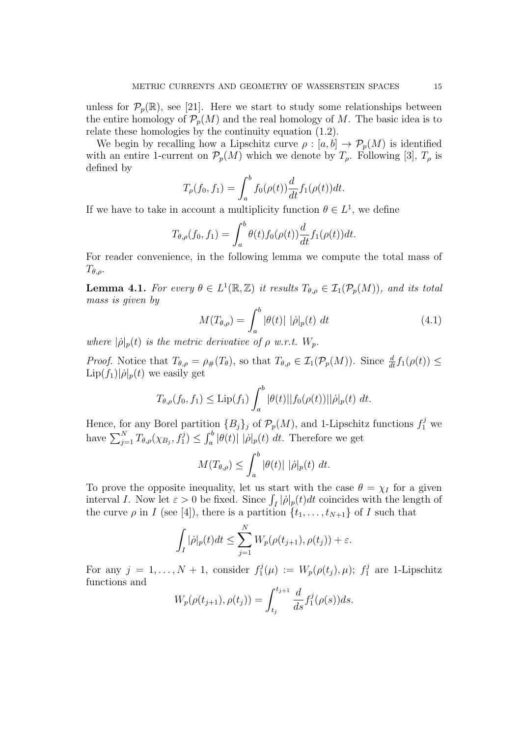unless for  $P_p(\mathbb{R})$ , see [21]. Here we start to study some relationships between the entire homology of  $\mathcal{P}_p(M)$  and the real homology of M. The basic idea is to relate these homologies by the continuity equation (1.2).

We begin by recalling how a Lipschitz curve  $\rho : [a, b] \to \mathcal{P}_p(M)$  is identified with an entire 1-current on  $\mathcal{P}_p(M)$  which we denote by  $T_\rho$ . Following [3],  $T_\rho$  is defined by  $\frac{1}{2}$  *F*<sub>*S*</sub> the continuing how a Lipschert on  $\mathcal{P}_p(M)$  where  $T_p(f_0, f_1) = \int_0^b$ 

$$
T_{\rho}(f_0, f_1) = \int_a^b f_0(\rho(t)) \frac{d}{dt} f_1(\rho(t)) dt.
$$
  
n account a multiplicity function  $\theta \in L$   

$$
T_{\theta, \rho}(f_0, f_1) = \int^b \theta(t) f_0(\rho(t)) \frac{d}{dt} f_1(\rho(t)) dt
$$

If we have to take in account a multiplicity function  $\theta \in L^1$ , we define

$$
T_{\theta,\rho}(f_0, f_1) = \int_a^b \theta(t) f_0(\rho(t)) \frac{d}{dt} f_1(\rho(t)) dt.
$$

For reader convenience, in the following lemma we compute the total mass of *Tθ,ρ*.

**Lemma 4.1.** For every  $\theta \in L^1(\mathbb{R}, \mathbb{Z})$  it results  $T_{\theta,\rho} \in \mathcal{I}_1(\mathcal{P}_p(M))$ , and its total *mass is given by*  $\theta \in L^1(\mathbb{R}, \mathbb{Z}) \; ,$  $M(T_{\theta,\rho}) = \int^b$ 

$$
M(T_{\theta,\rho}) = \int_a^b |\theta(t)| |\dot{\rho}|_p(t) dt \qquad (4.1)
$$

*where*  $|\dot{\rho}|_p(t)$  *is the metric derivative of*  $\rho$  *w.r.t.*  $W_p$ *.* 

*Proof.* Notice that  $T_{\theta,\rho} = \rho_{\#}(T_{\theta})$ , so that  $T_{\theta,\rho} \in \mathcal{I}_{1}(\mathcal{P}_{p}(M))$ . Since  $\frac{d}{dt}f_{1}(\rho(t)) \leq$  $\text{Lip}(f_1)|\dot{\rho}|_p(t)$  we easily get

$$
T_{\theta,\rho}(f_0,f_1) \leq \mathrm{Lip}(f_1) \int_a^b |\theta(t)| |f_0(\rho(t))| |\dot{\rho}|_p(t) dt.
$$

Hence, for any Borel partition  ${B_j}_j$  of  $\mathcal{P}_p(M)$ , and 1-Lipschitz functions  $f_1^j$  we Hence, fo<br>have  $\sum_{i=1}^{N}$ *i*<sub>*j*=1</sub>  $T_{\theta,\rho}(\chi_{B_j}, f_1^j) \leq \int_a^b$  $\int_a^b |\theta(t)| |\dot{\rho}|_p(t) dt$ . Therefore we get

$$
M(T_{\theta,\rho}) \leq \int_a^b |\theta(t)| |\dot{\rho}|_p(t) dt.
$$

To prove the opposite inequality, let us start with the case  $\theta = \chi_I$  for a given  $M(T_{\theta,\rho}) \leq \int_a^b |\theta(t)| |\dot{\rho}|_p(t) dt.$ <br>To prove the opposite inequality, let us start with the case  $\theta = \chi_I$  for a given interval *I*. Now let  $\varepsilon > 0$  be fixed. Since  $\int_I |\dot{\rho}|_p(t) dt$  coincides with the length of the curve  $\rho$  in *I* (see [4]), there is a partition  $\{t_1, \ldots, t_{N+1}\}\$  of *I* such that ∪<br>∫te inequality\_let

$$
\int_{I} |\dot{\rho}|_{p}(t)dt \le \sum_{j=1}^{N} W_{p}(\rho(t_{j+1}), \rho(t_{j})) + \varepsilon.
$$
  
\n
$$
N + 1, \text{ consider } f_{1}^{j}(\mu) := W_{p}(\rho(t_{j}), \mu)
$$
  
\n
$$
W_{p}(\rho(t_{j+1}), \rho(t_{j})) = \int^{t_{j+1}} \frac{d}{dt} f_{1}^{j}(\rho(s))ds.
$$

For any  $j = 1, \ldots, N + 1$ , consider  $f_1^j$  $W^j_1(\mu) := W_p(\rho(t_j), \mu);$   $f^j_1$  $x_1^j$  are 1-Lipschitz functions and

$$
W_p(\rho(t_{j+1}), \rho(t_j)) = \int_{t_j}^{t_{j+1}} \frac{d}{ds} f_1^j(\rho(s)) ds.
$$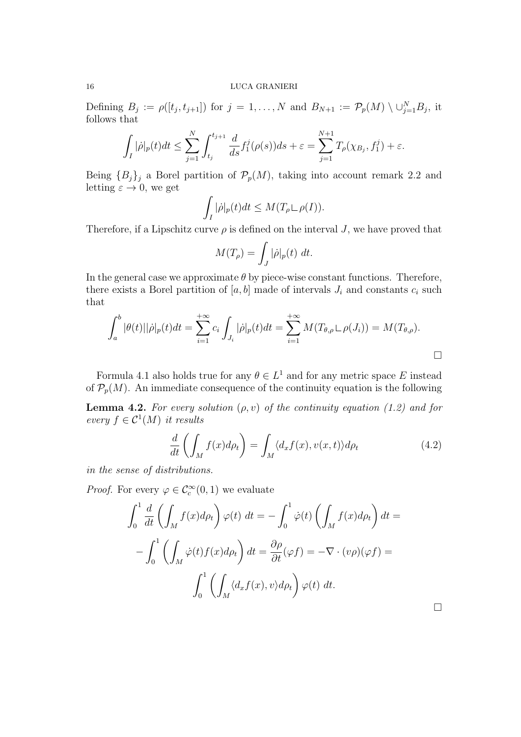Defining  $B_j := \rho([t_j, t_{j+1}])$  for  $j = 1, ..., N$  and  $B_{N+1} := \mathcal{P}_p(M) \setminus \cup_{j=1}^N B_j$ , it follows that

$$
\int_{I} |\dot{\rho}|_{p}(t)dt \leq \sum_{j=1}^{N} \int_{t_{j}}^{t_{j+1}} \frac{d}{ds} f_{1}^{j}(\rho(s))ds + \varepsilon = \sum_{j=1}^{N+1} T_{\rho}(\chi_{B_{j}}, f_{1}^{j}) + \varepsilon.
$$

Being  ${B_j}_j$  a Borel partition of  $P_p(M)$ , taking into account remark 2.2 and letting  $\varepsilon \to 0$ , we get

$$
\int_{I} |\dot{\rho}|_{p}(t)dt \leq M(T_{\rho} \cup \rho(I)).
$$
  
urve  $\rho$  is defined on the inter
$$
M(T_{\rho}) = \int |\dot{\rho}|_{p}(t) dt.
$$

Therefore, if a Lipschitz curve  $\rho$  is defined on the interval *J*, we have proved that

$$
M(T_{\rho}) = \int_{J} |\dot{\rho}|_{p}(t) dt.
$$

In the general case we approximate  $\theta$  by piece-wise constant functions. Therefore, there exists a Borel partition of  $[a, b]$  made of intervals  $J_i$  and constants  $c_i$  such that

$$
\int_{a}^{b} |\theta(t)||\dot{\rho}|_{p}(t)dt = \sum_{i=1}^{+\infty} c_{i} \int_{J_{i}} |\dot{\rho}|_{p}(t)dt = \sum_{i=1}^{+\infty} M(T_{\theta,\rho} \mathcal{L} \rho(J_{i})) = M(T_{\theta,\rho}).
$$

Formula 4.1 also holds true for any  $\theta \in L^1$  and for any metric space *E* instead

of  $\mathcal{P}_p(M)$ . An immediate consequence of the continuity equation is the following<br> **Lemma 4.2.** For every solution  $(\rho, v)$  of the continuity equation (1.2) and for<br>
every  $f \in C^1(M)$  it results<br>  $\frac{d}{dt} \left( \int_M f(x) d\rho_t \right)$ **Lemma 4.2.** *For every solution*  $(\rho, v)$  *of the continuity equation* (1.2) *and for*  $every f \in C^1(M)$  *it results* 

$$
\frac{d}{dt}\left(\int_{M} f(x)d\rho_{t}\right) = \int_{M} \langle d_{x}f(x), v(x,t) \rangle d\rho_{t}
$$
\n(4.2)

 $\Box$ 

*in the sense of distributions.*

*Proof.* For every  $\varphi \in C_c^{\infty}(0,1)$  we evaluate ery  $\varphi \in \mathcal{C}_c^{\infty}(0,1)$  we ev

$$
dt \left\langle J_M \right\rangle^{(1)} \left\langle J_M \right\rangle^{(2)} \left\langle J_M \right\rangle^{(3)} \left\langle J_M \right\rangle^{(4)} \left\langle J_M \right\rangle^{(5)} \left\langle J_M \right\rangle^{(6)} \text{where}
$$
\n
$$
\int_0^1 \frac{d}{dt} \left( \int_M f(x) d\rho_t \right) \varphi(t) dt = -\int_0^1 \varphi(t) \left( \int_M f(x) d\rho_t \right) dt =
$$
\n
$$
-\int_0^1 \left( \int_M \varphi(t) f(x) d\rho_t \right) dt = \frac{\partial \rho}{\partial t} (\varphi f) = -\nabla \cdot (v\rho)(\varphi f) =
$$
\n
$$
\int_0^1 \left( \int_M \langle d_x f(x), v \rangle d\rho_t \right) \varphi(t) dt.
$$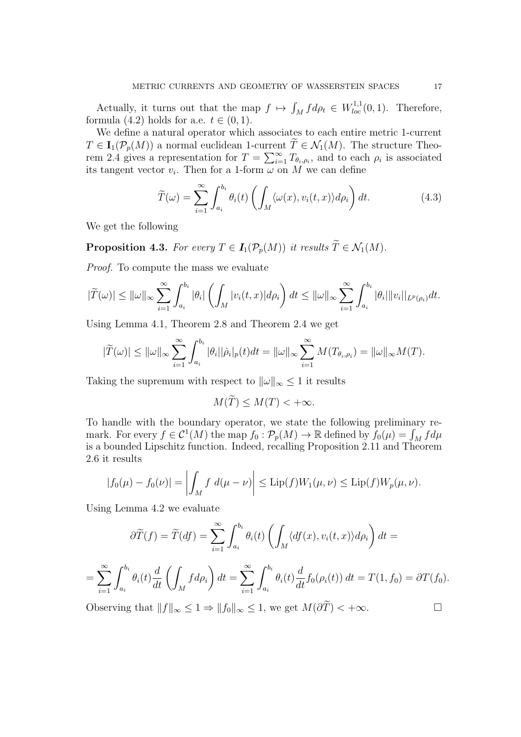Actually, it turns out that the map  $f \mapsto \int_M f d\rho_t \in W^{1,1}_{loc}(0,1)$ . Therefore, formula (4.2) holds for a.e.  $t \in (0,1)$ . Actually, it turns out that the map  $f \mapsto \int_M f d\rho_t \in W_{loc}^{1,1}(0,1)$ . Therefore, formula (4.2) holds for a.e.  $t \in (0,1)$ .<br>We define a natural operator which associates to each entire metric 1-current  $T \in \mathbf{I}_1(\mathcal{P}_p(M))$  a  $\mathbf{f}$ 

We define a natural operator which associates to each entire metric 1-current<br>  $\tilde{f}(\tilde{f})$ rem 2.4 gives a representation for  $T = \sum_{i=1}^{\infty} T_{\theta_i, \rho_i}$ , and to each  $\rho_i$  is associated its tangent vector  $v_i$ . Then for a 1-form  $\omega$  on  $M$  we can define a normal et<br>representat<br>or  $v_i$ . Then<br> $\widetilde{T}(\omega) = \sum_{i=1}^{\infty}$ 

$$
\widetilde{T}(\omega) = \sum_{i=1}^{\infty} \int_{a_i}^{b_i} \theta_i(t) \left( \int_M \langle \omega(x), v_i(t, x) \rangle d\rho_i \right) dt.
$$
\nWe get the following

\nProposition 4.3. For every  $T \in \mathbf{I}_1(\mathcal{P}_p(M))$  it results  $\widetilde{T} \in \mathcal{N}_1(M)$ .

We get the following

 $\overline{C}$   $\overline{C}$   $\overline{C}$   $\overline{C}$   $\overline{C}$   $\overline{C}$   $\overline{C}$   $\overline{C}$ 

*Proof.* To compute the mass we evaluate

**Proposition 4.3.** For every 
$$
T \in I_1(\mathcal{P}_p(M))
$$
 it results  $\overline{T} \in \mathcal{N}_1(M)$ .  
Proof. To compute the mass we evaluate  
 $|\widetilde{T}(\omega)| \le ||\omega||_{\infty} \sum_{i=1}^{\infty} \int_{a_i}^{b_i} |\theta_i| \left( \int_M |v_i(t,x)| d\rho_i \right) dt \le ||\omega||_{\infty} \sum_{i=1}^{\infty} \int_{a_i}^{b_i} |\theta_i| ||v_i||_{L^p(\rho_i)} dt$ .

Using Lemma 4.1, Theorem 2.8 and Theorem 2.4 we get

$$
\widetilde{T}(\omega)| \leq ||\omega||_{\infty} \sum_{i=1}^{\infty} \int_{a_i}^{b_i} |\theta_i||\dot{\rho}_i|_p(t)dt = ||\omega||_{\infty} \sum_{i=1}^{\infty} M(T_{\theta_i,\rho_i}) = ||\omega||_{\infty} M(T).
$$
  
ing Lemma 4.1, Theorem 2.8 and Theorem 2.4 we get  

$$
|\widetilde{T}(\omega)| \leq ||\omega||_{\infty} \sum_{i=1}^{\infty} \int_{a_i}^{b_i} |\theta_i||\dot{\rho}_i|_p(t)dt = ||\omega||_{\infty} \sum_{i=1}^{\infty} M(T_{\theta_i,\rho_i}) = ||\omega||_{\infty} M(T).
$$
  
ing the supremum with respect to  $||\omega||_{\infty} \leq 1$  it results  

$$
M(\widetilde{T}) \leq M(T) < +\infty.
$$

Taking the supremum with respect to  $||\omega||_{\infty} \leq 1$  it results

$$
M(\widetilde{T}) \le M(T) < +\infty.
$$

To handle with the boundary operator, we state the following preliminary re-Taking the supremum with respect to  $\|\omega\|_{\infty} \le 1$  it results<br>  $M(\tilde{T}) \le M(T) < +\infty$ .<br>
To handle with the boundary operator, we state the following preliminary re-<br>
mark. For every  $f \in C^1(M)$  the map  $f_0 : \mathcal{P}_p(M) \to \mathbb{R}$ is a bounded Lipschitz function. Indeed, recalling Proposition 2.11 and Theorem 2.6 it results

$$
|f_0(\mu) - f_0(\nu)| = \left| \int_M f \, d(\mu - \nu) \right| \le \text{Lip}(f) W_1(\mu, \nu) \le \text{Lip}(f) W_p(\mu, \nu).
$$
  
g Lemma 4.2 we evaluate  

$$
\partial \widetilde{T}(f) = \widetilde{T}(df) = \sum_{k=0}^{\infty} \int_{0}^{b_k} \theta_k(t) \left( \int \langle df(x), v_i(t, x) \rangle d\rho_i \right) dt =
$$

Using Lemma 4.2 we evaluate

$$
\partial \widetilde{T}(f) = \widetilde{T}(df) = \sum_{i=1}^{\infty} \int_{a_i}^{b_i} \theta_i(t) \left( \int_M \langle df(x), v_i(t, x) \rangle d\rho_i \right) dt =
$$
  
= 
$$
\sum_{i=1}^{\infty} \int_{a_i}^{b_i} \theta_i(t) \frac{d}{dt} \left( \int_M f d\rho_i \right) dt = \sum_{i=1}^{\infty} \int_{a_i}^{b_i} \theta_i(t) \frac{d}{dt} f_0(\rho_i(t)) dt = T(1, f_0) = \partial T(f_0).
$$

Observing that  $||f||_{\infty} \leq 1 \Rightarrow ||f_0||_{\infty} \leq 1$ , we get  $M(\partial T) < +\infty$ .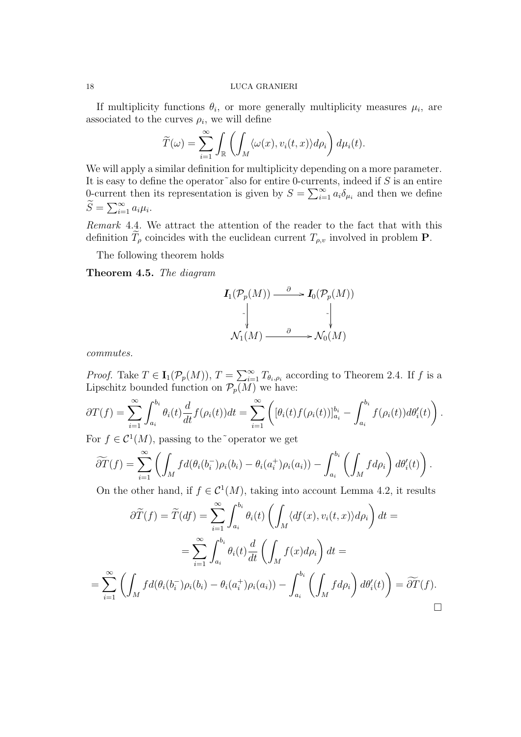If multiplicity functions  $\theta_i$ , or more generally multiplicity measures  $\mu_i$ , are associated to the curves  $\rho_i$ , we will define functions  $\theta$ <br>curves  $\rho_i$ , *y*<br> $\widetilde{T}(\omega) = \sum_{i=1}^{\infty}$ 

$$
\widetilde{T}(\omega) = \sum_{i=1}^{\infty} \int_{\mathbb{R}} \left( \int_{M} \langle \omega(x), v_i(t, x) \rangle d\rho_i \right) d\mu_i(t).
$$

We will apply a similar definition for multiplicity depending on a more parameter. It is easy to define the operator˜also for entire 0-currents, indeed if *S* is an entire 0-current then its representation is given by  $S = \sum_{i=1}^{\infty} a_i \delta_{\mu_i}$  and then we define We <sup>3</sup><br>It is<br> $0$ -cu<br> $\widetilde{S} =$  $\sum_{i=1}^{\infty} a_i \mu_i$ . definition  $\widetilde{S} = \sum_{i=1}^{\infty} a_i \mu_i$ .<br> *Remark* 4.4. We attract the attention of the reader to the fact that with the definition  $\widetilde{T}_{\rho}$  coincides with the euclidean current  $T_{\rho,v}$  involved in problem **P**.

*Remark* 4.4. We attract the attention of the reader to the fact that with this definition  $\widetilde{T}_{\rho}$  coincides with the euclidean current  $T_{\rho,v}$  involved in problem **P**.

The following theorem holds

**Theorem 4.5.** *The diagram*

$$
I_1(\mathcal{P}_p(M)) \xrightarrow{\partial} I_0(\mathcal{P}_p(M))
$$
  
\n
$$
\downarrow \qquad \qquad \downarrow
$$
  
\n
$$
\mathcal{N}_1(M) \xrightarrow{\partial} \mathcal{N}_0(M)
$$

*commutes.*

*Proof.* Take  $T \in \mathbf{I}_1(\mathcal{P}_p(M))$ ,  $T = \sum_{i=1}^{\infty} T_{\theta_i,\rho_i}$  according to Theorem 2.4. If *f* is a Lipschitz bounded function on  $\mathcal{P}_p(M)$  we have: *<i>∂<i>commutes.*<br>*Proof.* Take<br>Lipschitz boo $\partial T(f) = \sum_{n=0}^{\infty}$ 

$$
\partial T(f) = \sum_{i=1}^{\infty} \int_{a_i}^{b_i} \theta_i(t) \frac{d}{dt} f(\rho_i(t)) dt = \sum_{i=1}^{\infty} \left( [\theta_i(t) f(\rho_i(t))]_{a_i}^{b_i} - \int_{a_i}^{b_i} f(\rho_i(t)) d\theta'_i(t) \right).
$$
  
For  $f \in C^1(M)$ , passing to the  $\tilde{C}$  operator we get  

$$
\widetilde{\partial T}(f) = \sum_{i=1}^{\infty} \left( \int f d(\theta_i(b_i) - \theta_i(a_i^+) \rho_i(a_i)) - \int_{a_i}^{b_i} \left( \int f d\rho_i \right) d\theta'_i(t) \right).
$$

For  $f \in \mathcal{C}^1(M)$ , passing to the ~operator we get

$$
\widetilde{\partial T}(f) = \sum_{i=1}^{\infty} \left( \int_M f d(\theta_i(b_i^-) \rho_i(b_i) - \theta_i(a_i^+) \rho_i(a_i)) - \int_{a_i}^{b_i} \left( \int_M f d\rho_i \right) d\theta'_i(t) \right).
$$
  
On the other hand, if  $f \in C^1(M)$ , taking into account Lemma 4.2, it results  

$$
\partial \widetilde{T}(f) = \widetilde{T}(df) = \sum_{i=1}^{\infty} \int_{a_i}^{b_i} \theta_i(t) \left( \int \langle df(x), v_i(t, x) \rangle d\rho_i \right) dt =
$$

On the other hand, if  $f \in C^1(M)$ , taking into account Lemma 4.2, it results

On the other hand, if 
$$
f \in C^1(M)
$$
, taking into account Lemma 4.2, it results  
\n
$$
\partial \widetilde{T}(f) = \widetilde{T}(df) = \sum_{i=1}^{\infty} \int_{a_i}^{b_i} \theta_i(t) \left( \int_M \langle df(x), v_i(t, x) \rangle d\rho_i \right) dt =
$$
\n
$$
= \sum_{i=1}^{\infty} \int_{a_i}^{b_i} \theta_i(t) \frac{d}{dt} \left( \int_M f(x) d\rho_i \right) dt =
$$
\n
$$
= \sum_{i=1}^{\infty} \left( \int_M f d(\theta_i(b_i^-) \rho_i(b_i) - \theta_i(a_i^+) \rho_i(a_i)) - \int_{a_i}^{b_i} \left( \int_M f d\rho_i \right) d\theta'_i(t) \right) = \widetilde{\partial T}(f).
$$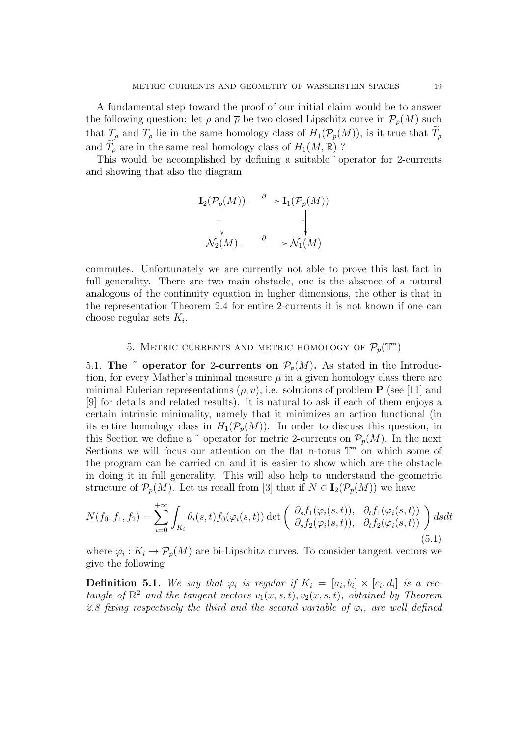A fundamental step toward the proof of our initial claim would be to answer the following question: let  $\rho$  and  $\overline{\rho}$  be two closed Lipschitz curve in  $\mathcal{P}_p(M)$  such METRIC CURRENTS AND GEOMETRY OF WASSERSTEIN SPACES 19<br> *A* fundamental step toward the proof of our initial claim would be to answer<br>
the following question: let  $\rho$  and  $\overline{\rho}$  be two closed Lipschitz curve in  $\mathcal{P}_p$ A fundamental step toward the proof of our initial clair<br>the following question: let  $\rho$  and  $\overline{\rho}$  be two closed Lipschitz<br>that  $T_{\rho}$  and  $T_{\overline{\rho}}$  lie in the same homology class of  $H_1(\mathcal{P}_p(\Lambda))$ <br>and  $\widetilde{T}_{\overline{\rho$ 

This would be accomplished by defining a suitable  $\tilde{\ }$  operator for 2-currents and showing that also the diagram

$$
\mathbf{I}_2(\mathcal{P}_p(M)) \xrightarrow{\partial} \mathbf{I}_1(\mathcal{P}_p(M))
$$

$$
\downarrow \qquad \qquad \downarrow
$$

$$
\mathcal{N}_2(M) \xrightarrow{\partial} \mathcal{N}_1(M)
$$

commutes. Unfortunately we are currently not able to prove this last fact in full generality. There are two main obstacle, one is the absence of a natural analogous of the continuity equation in higher dimensions, the other is that in the representation Theorem 2.4 for entire 2-currents it is not known if one can choose regular sets *K<sup>i</sup>* .

# 5. METRIC CURRENTS AND METRIC HOMOLOGY OF  $\mathcal{P}_p(\mathbb{T}^n)$

5.1. **The**  $\tilde{ }$  operator for 2-currents on  $\mathcal{P}_p(M)$ . As stated in the Introduction, for every Mather's minimal measure  $\mu$  in a given homology class there are minimal Eulerian representations  $(\rho, v)$ , i.e. solutions of problem **P** (see [11] and [9] for details and related results). It is natural to ask if each of them enjoys a certain intrinsic minimality, namely that it minimizes an action functional (in its entire homology class in  $H_1(\mathcal{P}_p(M))$ . In order to discuss this question, in this Section we define a  $\tilde{ }$  operator for metric 2-currents on  $\mathcal{P}_p(M)$ . In the next Sections we will focus our attention on the flat n-torus  $\mathbb{T}^n$  on which some of the program can be carried on and it is easier to show which are the obstacle in doing it in full generality. This will also help to understand the geometric structure of  $\mathcal{P}_p(M)$ . Let us recall from [3] that if  $N \in \mathbf{I}_2(\mathcal{P}_p(M))$  we have bections we will focus our attention of the flat fi-totus from which some<br>the program can be carried on and it is easier to show which are the obstat<br>in doing it in full generality. This will also help to understand the g

$$
N(f_0, f_1, f_2) = \sum_{i=0}^{+\infty} \int_{K_i} \theta_i(s, t) f_0(\varphi_i(s, t)) \det \begin{pmatrix} \partial_s f_1(\varphi_i(s, t)), & \partial_t f_1(\varphi_i(s, t)) \\ \partial_s f_2(\varphi_i(s, t)), & \partial_t f_2(\varphi_i(s, t)) \end{pmatrix} ds dt
$$
\n(5.1)

where  $\varphi_i: K_i \to \mathcal{P}_p(M)$  are bi-Lipschitz curves. To consider tangent vectors we give the following

**Definition 5.1.** We say that  $\varphi_i$  is regular if  $K_i = [a_i, b_i] \times [c_i, d_i]$  is a rec*tangle of*  $\mathbb{R}^2$  *and the tangent vectors*  $v_1(x, s, t)$ *,*  $v_2(x, s, t)$ *, obtained by Theorem* 2.8 fixing respectively the third and the second variable of  $\varphi_i$ , are well defined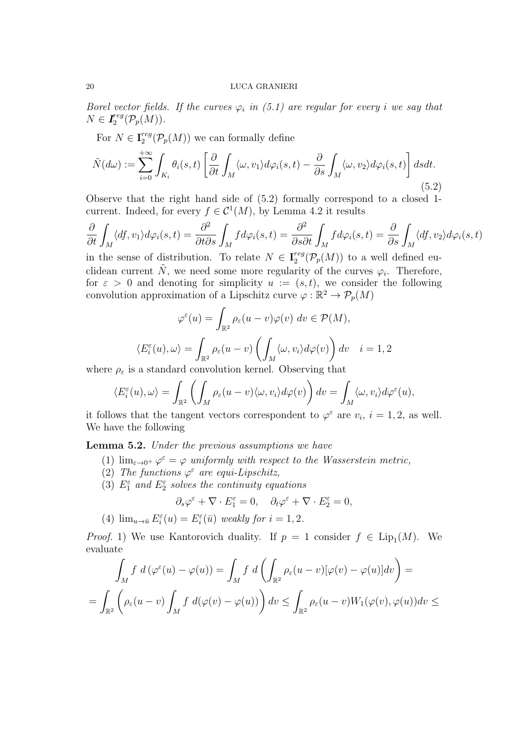$N \in I_2^{reg}$  $_{2}^{reg}(\mathcal{P}_{p}(M)).$ 

For  $N \in \mathbf{I}_2^{reg}$  $C_2^{reg}(\mathcal{P}_p(M))$  we can formally define

*Borel vector fields. If the curves* 
$$
\varphi_i
$$
 *in* (5.1) *are regular for every i we say that*  
\n $N \in \mathbf{I}_2^{reg}(\mathcal{P}_p(M))$ .  
\nFor  $N \in \mathbf{I}_2^{reg}(\mathcal{P}_p(M))$  we can formally define  
\n
$$
\tilde{N}(d\omega) := \sum_{i=0}^{+\infty} \int_{K_i} \theta_i(s,t) \left[ \frac{\partial}{\partial t} \int_M \langle \omega, v_1 \rangle d\varphi_i(s,t) - \frac{\partial}{\partial s} \int_M \langle \omega, v_2 \rangle d\varphi_i(s,t) \right] ds dt.
$$
\n(5.2)

Observe that the right hand side of (5.2) formally correspond to a closed 1 current. Indeed, for every  $f \in C^1(M)$ , by Lemma 4.2 it results

$$
\frac{\partial}{\partial t} \int_{K_i} \left\{ \int_{M}^{t} \int_{M}^{t} ds \right\} \frac{\partial}{\partial s} \int_{M}^{t} ds \int_{M}^{t} ds \int_{M}^{t} ds \int_{M}^{t} ds \int_{M}^{t} ds \int_{M}^{t} ds \int_{M}^{t} ds \int_{M}^{t} ds \int_{M}^{t} ds \int_{M}^{t} ds \int_{M}^{t} ds \int_{M}^{t} ds \int_{M}^{t} ds \int_{M}^{t} ds \int_{M}^{t} ds \int_{M}^{t} ds \int_{M}^{t} ds \int_{M}^{t} ds \int_{M}^{t} ds \int_{M}^{t} ds \int_{M}^{t} ds \int_{M}^{t} ds \int_{M}^{t} ds \int_{M}^{t} ds \int_{M}^{t} ds \int_{M}^{t} ds \int_{M}^{t} ds \int_{M}^{t} ds \int_{M}^{t} ds \int_{M}^{t} ds \int_{M}^{t} ds \int_{M}^{t} ds \int_{M}^{t} ds \int_{M}^{t} ds \int_{M}^{t} ds \int_{M}^{t} ds \int_{M}^{t} ds \int_{M}^{t} ds \int_{M}^{t} ds \int_{M}^{t} ds \int_{M}^{t} ds \int_{M}^{t} ds \int_{M}^{t} ds \int_{M}^{t} ds \int_{M}^{t} ds \int_{M}^{t} ds \int_{M}^{t} ds \int_{M}^{t} ds \int_{M}^{t} ds \int_{M}^{t} ds \int_{M}^{t} ds \int_{M}^{t} ds \int_{M}^{t} ds \int_{M}^{t} ds \int_{M}^{t} ds \int_{M}^{t} ds \int_{M}^{t} ds \int_{M}^{t} ds \int_{M}^{t} ds \int_{M}^{t} ds \int_{M}^{t} ds \int_{M}^{t} ds \int_{M}^{t} ds \int_{M}^{t} ds \int_{M}^{t} ds \int_{M}^{t} ds \int_{M}^{t} ds \int_{M}^{t} ds \int_{M}^{t} ds \int_{M}^{t} ds \int_{M}^{t} ds \int_{M}^{t} ds \int_{M}^{t} ds \int_{M}^{t} ds \int_{M}^{t} ds \int_{M}^{t} ds \int_{M}^{t} ds \int_{M}^{t} ds \int_{M}^{t} ds
$$

in the sense of distribution. To relate  $N \in \mathbf{I}_2^{reg}$  $C_2^{reg}(\mathcal{P}_p(M))$  to a well defined euclidean current  $\tilde{N}$ , we need some more regularity of the curves  $\varphi_i$ . Therefore, for  $\varepsilon > 0$  and denoting for simplicity  $u := (s, t)$ , we consider the following convolution approximation of a Lipschitz curve  $\varphi : \mathbb{R}^2 \to \mathcal{P}_p(M)$ (*u*) increased so<br>the form of  $(u) = 0$  $\frac{1}{2}$  for simplicity

$$
\varphi^{\varepsilon}(u) = \int_{\mathbb{R}^{2}} \rho_{\varepsilon}(u - v)\varphi(v) dv \in \mathcal{P}(M),
$$
  

$$
\langle E_{i}^{\varepsilon}(u), \omega \rangle = \int_{\mathbb{R}^{2}} \rho_{\varepsilon}(u - v) \left( \int_{M} \langle \omega, v_{i} \rangle d\varphi(v) \right) dv \quad i = 1, 2
$$

where  $\rho_{\varepsilon}$  is a standard convolution kernel. Observing that

$$
\langle E_i^{\varepsilon}(u), \omega \rangle = \int_{\mathbb{R}^2} \left( \int_M \rho_{\varepsilon}(u-v) \langle \omega, v_i \rangle d\varphi(v) \right) dv = \int_M \langle \omega, v_i \rangle d\varphi^{\varepsilon}(u),
$$

it follows that the tangent vectors correspondent to  $\varphi^{\varepsilon}$  are  $v_i$ ,  $i = 1, 2$ , as well. We have the following

**Lemma 5.2.** *Under the previous assumptions we have*

- (1)  $\lim_{\varepsilon \to 0^+} \varphi^{\varepsilon} = \varphi$  *uniformly with respect to the Wasserstein metric,*
- (2) The functions  $\varphi^{\varepsilon}$  are equi-Lipschitz,
- (3)  $E_1^{\varepsilon}$  *and*  $E_2^{\varepsilon}$  *solves the continuity equations*

$$
\partial_s \varphi^{\varepsilon} + \nabla \cdot E_1^{\varepsilon} = 0, \quad \partial_t \varphi^{\varepsilon} + \nabla \cdot E_2^{\varepsilon} = 0,
$$

(4)  $\lim_{u \to \bar{u}} E_i^{\varepsilon}(u) = E_i^{\varepsilon}(\bar{u})$  *weakly for*  $i = 1, 2$ *.* 

*Proof.* 1) We use Kantorovich duality. If  $p = 1$  consider  $f \in Lip_1(M)$ . We evaluate  $\lim_{u \to \bar{u}} E_i^{\varepsilon}(u) = E_i^{\varepsilon}(\bar{u})$  weakly for *i*<br>
1) We use Kantorovich duality. I<br>  $\int f d(\varphi^{\varepsilon}(u) - \varphi(u)) = \int f d$ *p*<sub>ε</sub>(*u* − *v*)[ $\varphi$ (*v*) −  $\varphi$ (*u*)]*dv*) *not*. 1) We use Kantorovich duality. If  $p =$ 

*Proof.* I) We use Kantorovich duality. If 
$$
p = 1
$$
 consider  $f \in \text{Lip}_1(M)$ . We  
evaluate  

$$
\int_M f d(\varphi^{\varepsilon}(u) - \varphi(u)) = \int_M f d\left(\int_{\mathbb{R}^2} \rho_{\varepsilon}(u - v)[\varphi(v) - \varphi(u)]dv\right) =
$$

$$
= \int_{\mathbb{R}^2} \left(\rho_{\varepsilon}(u - v) \int_M f d(\varphi(v) - \varphi(u))\right) dv \leq \int_{\mathbb{R}^2} \rho_{\varepsilon}(u - v) W_1(\varphi(v), \varphi(u)) dv \leq
$$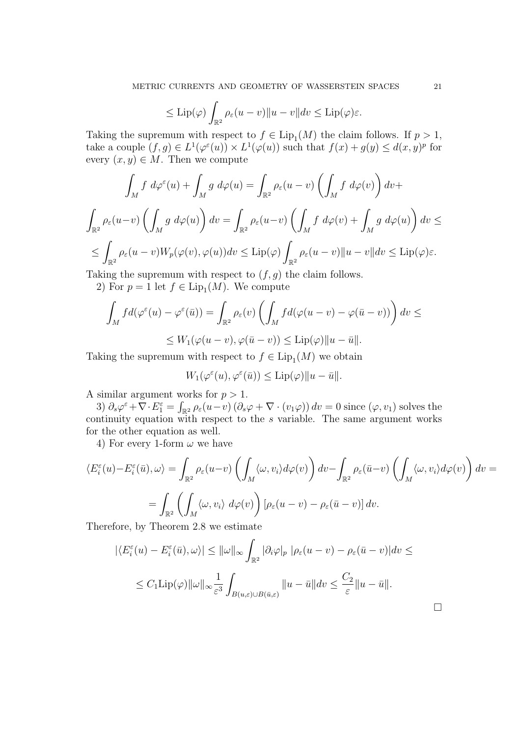$$
\leq \mathrm{Lip}(\varphi) \int_{\mathbb{R}^2} \rho_{\varepsilon}(u-v) \|u-v\| dv \leq \mathrm{Lip}(\varphi)\varepsilon.
$$

Taking the supremum with respect to  $f \in \text{Lip}_1(M)$  the claim follows. If  $p > 1$ , take a couple  $(f, g) \in L^1(\varphi^{\varepsilon}(u)) \times L^1(\varphi(u))$  such that  $f(x) + g(y) \leq d(x, y)^p$  for every  $(x, y) \in M$ . Then we compute (*u*) +  $\int_{\mathbb{R}^2}$ <br>
(*u*) =  $L^1(\varphi^{\varepsilon}(u)) \times L^1(\varphi)$ <br>
(*u*) +  $\int g \ d\varphi(u) = 0$ 

every 
$$
(x, y) \in M
$$
. Then we compute  
\n
$$
\int_M f \, d\varphi^{\varepsilon}(u) + \int_M g \, d\varphi(u) = \int_{\mathbb{R}^2} \rho_{\varepsilon}(u - v) \left( \int_M f \, d\varphi(v) \right) dv +
$$
\n
$$
\int_{\mathbb{R}^2} \rho_{\varepsilon}(u - v) \left( \int_M g \, d\varphi(u) \right) dv = \int_{\mathbb{R}^2} \rho_{\varepsilon}(u - v) \left( \int_M f \, d\varphi(v) + \int_M g \, d\varphi(u) \right) dv \le
$$
\n
$$
\leq \int_{\mathbb{R}^2} \rho_{\varepsilon}(u - v) W_p(\varphi(v), \varphi(u)) dv \leq \text{Lip}(\varphi) \int_{\mathbb{R}^2} \rho_{\varepsilon}(u - v) ||u - v|| dv \leq \text{Lip}(\varphi) \varepsilon.
$$
\nTaking the supremum with respect to  $(f, g)$  the claim follows.  
\n2) For  $p = 1$  let  $f \in \text{Lip}_1(M)$ . We compute\n
$$
\int f d(\varphi^{\varepsilon}(u) - \varphi^{\varepsilon}(\bar{u})) = \int \rho_{\varepsilon}(v) \left( \int f d(\varphi(u - v) - \varphi(\bar{u} - v)) \right) dv \leq
$$

Taking the supremum with respect to  $(f, g)$  the claim follows.

2) For  $p = 1$  let  $f \in \text{Lip}_1(M)$ . We compute

$$
\int_M f d(\varphi^{\varepsilon}(u) - \varphi^{\varepsilon}(\bar{u})) = \int_{\mathbb{R}^2} \rho_{\varepsilon}(v) \left( \int_M f d(\varphi(u-v) - \varphi(\bar{u}-v)) \right) dv \le
$$
  

$$
\le W_1(\varphi(u-v), \varphi(\bar{u}-v)) \le \text{Lip}(\varphi) ||u - \bar{u} ||.
$$

Taking the supremum with respect to  $f \in \text{Lip}_1(M)$  we obtain

$$
W_1(\varphi^{\varepsilon}(u), \varphi^{\varepsilon}(\bar{u})) \le \mathrm{Lip}(\varphi) \|u - \bar{u}\|.
$$

A similar argument works for *p >* 1.

3)  $\partial_s \varphi^\varepsilon + \nabla \cdot E_1^\varepsilon = \int_{\mathbb{R}^2} \rho_\varepsilon(u-v) \left( \partial_s \varphi + \nabla \cdot (v_1 \varphi) \right) dv = 0$  since  $(\varphi, v_1)$  solves the continuity equation with respect to the *s* variable. The same argument works for the other equation as well.

4) For every 1-form  $\omega$  we have

$$
\langle E_i^{\varepsilon}(u) - E_i^{\varepsilon}(\bar{u}), \omega \rangle = \int_{\mathbb{R}^2} \rho_{\varepsilon}(u-v) \left( \int_M \langle \omega, v_i \rangle d\varphi(v) \right) dv - \int_{\mathbb{R}^2} \rho_{\varepsilon}(\bar{u}-v) \left( \int_M \langle \omega, v_i \rangle d\varphi(v) \right) dv =
$$
  
= 
$$
\int_{\mathbb{R}^2} \left( \int_M \langle \omega, v_i \rangle d\varphi(v) \right) [\rho_{\varepsilon}(u-v) - \rho_{\varepsilon}(\bar{u}-v)] dv.
$$

Therefore, by Theorem 2.8 we estimate

$$
\left| \langle E_i^{\varepsilon}(u) - E_i^{\varepsilon}(\bar{u}), \omega \rangle \right| \le ||\omega||_{\infty} \int_{\mathbb{R}^2} |\partial_i \varphi|_p \, |\rho_{\varepsilon}(u - v) - \rho_{\varepsilon}(\bar{u} - v)| dv \le
$$
  

$$
\le C_1 \text{Lip}(\varphi) ||\omega||_{\infty} \frac{1}{\varepsilon^3} \int_{B(u,\varepsilon) \cup B(\bar{u},\varepsilon)} ||u - \bar{u}|| dv \le \frac{C_2}{\varepsilon} ||u - \bar{u}||.
$$

 $\Box$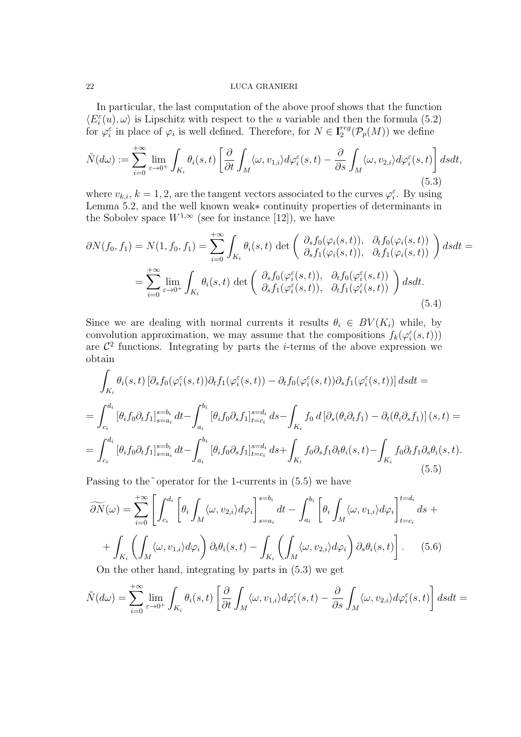In particular, the last computation of the above proof shows that the function  $\langle E_i^{\varepsilon}(u), \omega \rangle$  is Lipschitz with respect to the *u* variable and then the formula (5.2) for  $\varphi_i^{\varepsilon}$  in place of  $\varphi_i$  is well defined. Therefore, for  $N \in \mathbf{I}_2^{reg}$  $i_2^{reg}(\mathcal{P}_p(M))$  we define In particular, the last computation of the above proof show  $\langle E_i^{\varepsilon}(u), \omega \rangle$  is Lipschitz with respect to the *u* variable and the for  $\varphi_i^{\varepsilon}$  in place of  $\varphi_i$  is well defined. Therefore, for  $N \in \mathbf{I}_2^{reg}$  *(*∫[]

$$
\tilde{N}(d\omega) := \sum_{i=0}^{+\infty} \lim_{\varepsilon \to 0^+} \int_{K_i} \theta_i(s,t) \left[ \frac{\partial}{\partial t} \int_M \langle \omega, v_{1,i} \rangle d\varphi_i^{\varepsilon}(s,t) - \frac{\partial}{\partial s} \int_M \langle \omega, v_{2,i} \rangle d\varphi_i^{\varepsilon}(s,t) \right] ds dt,
$$
\n(5.3)

where  $v_{k,i}$ ,  $k = 1, 2$ , are the tangent vectors associated to the curves  $\varphi_i^{\varepsilon}$ . By using Lemma 5.2, and the well known weak*∗* continuity properties of determinants in the Sobolev space  $W^{1,\infty}$  (see for instance [12]), we have *s* (0.3)<br> *N*(*f*<sub>0</sub>*, f*<sub>*i*</sub>, *k* = 1, 2, are the tangent vectors associated to the curves  $\varphi_i^{\varepsilon}$ . By using<br> *E*erminants in<br>
the Sobolev space  $W^{1,\infty}$  (see for instance [12]), we have<br>  $\partial N(f_0, f_1) = N(1, f_0, f_1$ pace  $W^{1,0}$ 

the Sobolev space 
$$
W^{1,\infty}
$$
 (see for instance [12]), we have  
\n
$$
\partial N(f_0, f_1) = N(1, f_0, f_1) = \sum_{i=0}^{+\infty} \int_{K_i} \theta_i(s, t) \det \begin{pmatrix} \partial_s f_0(\varphi_i(s, t)), & \partial_t f_0(\varphi_i(s, t)) \\ \partial_s f_1(\varphi_i(s, t)), & \partial_t f_1(\varphi_i(s, t)) \end{pmatrix} ds dt =
$$
\n
$$
= \sum_{i=0}^{+\infty} \lim_{\varepsilon \to 0^+} \int_{K_i} \theta_i(s, t) \det \begin{pmatrix} \partial_s f_0(\varphi_i^{\varepsilon}(s, t)), & \partial_t f_0(\varphi_i^{\varepsilon}(s, t)) \\ \partial_s f_1(\varphi_i^{\varepsilon}(s, t)), & \partial_t f_1(\varphi_i^{\varepsilon}(s, t)) \end{pmatrix} ds dt.
$$
\n(5.4)

Since we are dealing with normal currents it results  $\theta_i \in BV(K_i)$  while, by convolution approximation, we may assume that the compositions  $f_k(\varphi_i^{\varepsilon}(s,t))$ are  $\mathcal{C}^2$  functions. Integrating by parts the *i*-terms of the above expression we obtain ∫∫∫

$$
\int_{K_i} \theta_i(s,t) \left[ \partial_s f_0(\varphi_i^{\varepsilon}(s,t)) \partial_t f_1(\varphi_i^{\varepsilon}(s,t)) - \partial_t f_0(\varphi_i^{\varepsilon}(s,t)) \partial_s f_1(\varphi_i^{\varepsilon}(s,t)) \right] ds dt =
$$
\n
$$
= \int_{c_i}^{d_i} \left[ \theta_i f_0 \partial_t f_1 \right]_{s=a_i}^{s=b_i} dt - \int_{a_i}^{b_i} \left[ \theta_i f_0 \partial_s f_1 \right]_{t=c_i}^{s=d_i} ds - \int_{K_i} f_0 d \left[ \partial_s (\theta_i \partial_t f_1) - \partial_t (\theta_i \partial_s f_1) \right] (s,t) =
$$
\n
$$
= \int_{c_i}^{d_i} \left[ \theta_i f_0 \partial_t f_1 \right]_{s=a_i}^{s=b_i} dt - \int_{a_i}^{b_i} \left[ \theta_i f_0 \partial_s f_1 \right]_{t=c_i}^{s=d_i} ds + \int_{K_i} f_0 \partial_s f_1 \partial_t \theta_i(s,t) - \int_{K_i} f_0 \partial_t f_1 \partial_s \theta_i(s,t).
$$
\n
$$
\text{Passing to the } ^\circ \text{operator for the 1-currents in (5.5) we have}
$$
\n
$$
\widetilde{\partial N}(\omega) = \sum_{i=0}^{+\infty} \left[ \int_{c_i}^{d_i} \left[ \theta_i \int_M \langle \omega, v_{2,i} \rangle d\varphi_i \right]_{s=a_i}^{s=b_i} dt - \int_{a_i}^{b_i} \left[ \theta_i \int_M \langle \omega, v_{1,i} \rangle d\varphi_i \right]_{t=c_i}^{t=d_i} ds +
$$
\n
$$
(5.5)
$$

Passing to the  $\degree$  operator for the 1-currents in  $(5.5)$  we have g to the operator for the 1-currents in  $(5.5)$  we have

$$
\widetilde{\partial N}(\omega) = \sum_{i=0}^{+\infty} \left[ \int_{c_i}^{d_i} \left[ \theta_i \int_M \langle \omega, v_{2,i} \rangle d\varphi_i \right]_{s=a_i}^{s=b_i} dt - \int_{a_i}^{b_i} \left[ \theta_i \int_M \langle \omega, v_{1,i} \rangle d\varphi_i \right]_{t=c_i}^{t=d_i} ds + \right.
$$
\n
$$
+ \int_{K_i} \left( \int_M \langle \omega, v_{1,i} \rangle d\varphi_i \right) \partial_t \theta_i(s, t) - \int_{K_i} \left( \int_M \langle \omega, v_{2,i} \rangle d\varphi_i \right) \partial_s \theta_i(s, t) \right]. \tag{5.6}
$$
\nOn the other hand, integrating by parts in (5.3) we get\n
$$
\widetilde{N}(d\omega) = \sum_{i=0}^{+\infty} \lim_{\varepsilon \to 0^+} \int_{K_i} \theta_i(s, t) \left[ \frac{\partial}{\partial t} \int_M \langle \omega, v_{1,i} \rangle d\varphi_i^{\varepsilon}(s, t) - \frac{\partial}{\partial s} \int_M \langle \omega, v_{2,i} \rangle d\varphi_i^{\varepsilon}(s, t) \right] dt
$$

On the other hand, integrating by parts in (5.3) we get

$$
\tilde{N}(d\omega) = \sum_{i=0}^{+\infty} \lim_{\varepsilon \to 0^+} \int_{K_i} \theta_i(s,t) \left[ \frac{\partial}{\partial t} \int_M \langle \omega, v_{1,i} \rangle d\varphi_i^{\varepsilon}(s,t) - \frac{\partial}{\partial s} \int_M \langle \omega, v_{2,i} \rangle d\varphi_i^{\varepsilon}(s,t) \right] ds dt =
$$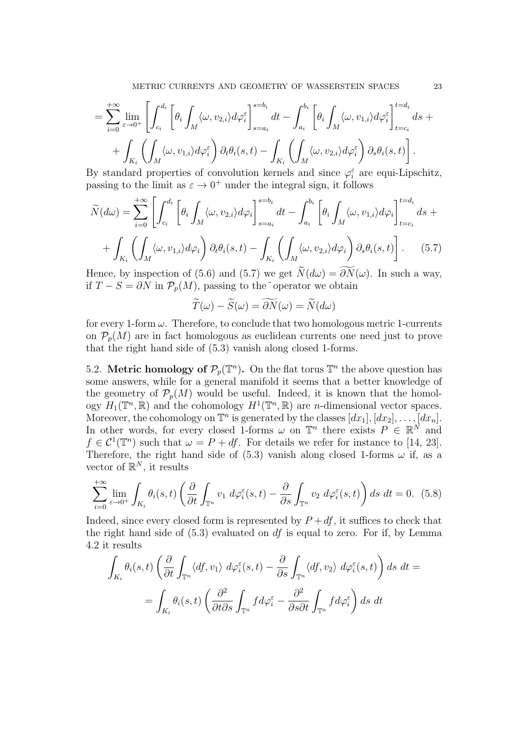METRIC CURRENTS AND GEOMETRY OF WASSERSTEIN SPACES 23

$$
= \sum_{i=0}^{+\infty} \lim_{\varepsilon \to 0^+} \left[ \int_{c_i}^{d_i} \left[ \theta_i \int_M \langle \omega, v_{2,i} \rangle d\varphi_i^{\varepsilon} \right]_{s=a_i}^{s=b_i} dt - \int_{a_i}^{b_i} \left[ \theta_i \int_M \langle \omega, v_{1,i} \rangle d\varphi_i^{\varepsilon} \right]_{t=c_i}^{t=d_i} ds + \right.
$$
  
+ 
$$
\int_{K_i} \left( \int_M \langle \omega, v_{1,i} \rangle d\varphi_i^{\varepsilon} \right) \partial_t \theta_i(s, t) - \int_{K_i} \left( \int_M \langle \omega, v_{2,i} \rangle d\varphi_i^{\varepsilon} \right) \partial_s \theta_i(s, t) \right].
$$

By standard properties of convolution kernels and since  $\varphi_i^{\varepsilon}$  are equi-Lipschitz, passing to the limit as  $\varepsilon \to 0^+$  under the integral sign, it follows  $\begin{aligned} \n\begin{array}{c}\n\text{ }\tau \int_{K_i} \n\end{array} \n\end{aligned}$ <br>By standard passing to the<br> $\widetilde{N}(d\omega) = \sum_{i=1}^{+\infty}$ g to the limit as  $\varepsilon \to 0^+$  under the integral sign, it fol

$$
+\int_{K_{i}}\left(\int_{M}\langle\omega,v_{1,i}\rangle d\varphi_{i}^{\varepsilon}\right)\partial_{t}\theta_{i}(s,t)-\int_{K_{i}}\left(\int_{M}\langle\omega,v_{2,i}\rangle d\varphi_{i}^{\varepsilon}\right)\partial_{s}\theta_{i}(s,t)\right].
$$
  
By standard properties of convolution kernels and since  $\varphi_{i}^{\varepsilon}$  are equi-Lipschitz,  
passing to the limit as  $\varepsilon \to 0^{+}$  under the integral sign, it follows  

$$
\widetilde{N}(d\omega) = \sum_{i=0}^{+\infty}\left[\int_{c_{i}}^{d_{i}}\left[\theta_{i}\int_{M}\langle\omega,v_{2,i}\rangle d\varphi_{i}\right]_{s=a_{i}}^{s=b_{i}}dt-\int_{a_{i}}^{b_{i}}\left[\theta_{i}\int_{M}\langle\omega,v_{1,i}\rangle d\varphi_{i}\right]_{t=c_{i}}^{t=d_{i}}ds+\right.
$$

$$
+\int_{K_{i}}\left(\int_{M}\langle\omega,v_{1,i}\rangle d\varphi_{i}\right)\partial_{t}\theta_{i}(s,t)-\int_{K_{i}}\left(\int_{M}\langle\omega,v_{2,i}\rangle d\varphi_{i}\right)\partial_{s}\theta_{i}(s,t)\right].
$$
(5.7)

Hence, by inspection of (5.6) and (5.7) we get  $N(d\omega) = \partial N(\omega)$ . In such a way, if  $T - S = \partial N$  in  $P_p(M)$ , passing to the vertical overall obtain  $J_{K_i}$   $\langle J_M \rangle^{\langle K_i, K_j \rangle}$ <br> *T*(*s*) and (5.7) we get  $\widetilde{N}(d\omega)$  = <br> *T*( $\omega$ ) –  $\widetilde{S}(\omega) = \widetilde{\partial N}(\omega) = \widetilde{N}(d\omega)$ 

$$
\widetilde{T}(\omega) - \widetilde{S}(\omega) = \widetilde{\partial N}(\omega) = \widetilde{N}(d\omega)
$$

for every 1-form  $\omega$ . Therefore, to conclude that two homologous metric 1-currents on  $P_p(M)$  are in fact homologous as euclidean currents one need just to prove that the right hand side of (5.3) vanish along closed 1-forms.

5.2. **Metric homology of**  $\mathcal{P}_p(\mathbb{T}^n)$ . On the flat torus  $\mathbb{T}^n$  the above question has some answers, while for a general manifold it seems that a better knowledge of the geometry of  $\mathcal{P}_p(M)$  would be useful. Indeed, it is known that the homology  $H_1(\mathbb{T}^n,\mathbb{R})$  and the cohomology  $H^1(\mathbb{T}^n,\mathbb{R})$  are *n*-dimensional vector spaces. Moreover, the cohomology on  $\mathbb{T}^n$  is generated by the classes  $[dx_1]$ ,  $[dx_2]$ , ...,  $[dx_n]$ . In other words, for every closed 1-forms  $\omega$  on  $\mathbb{T}^n$  there exists  $P \in \mathbb{R}^N$  and  $f \in C^1(\mathbb{T}^n)$  such that  $\omega = P + df$ . For details we refer for instance to [14, 23]. Therefore, the right hand side of  $(5.3)$  vanish along closed 1-forms  $\omega$  if, as a vector of  $\mathbb{R}^N$ , it results *∂y* = *P* + *df*. For details  $\omega$  on<br>and side of (5.3) vanish<br>*s*<br>*∂t*  $\int_{\mathbb{T}^n} v_1 d\varphi_i^{\varepsilon}(s,t) - \frac{\partial}{\partial s}$ 

$$
\sum_{i=0}^{+\infty} \lim_{\varepsilon \to 0^+} \int_{K_i} \theta_i(s,t) \left( \frac{\partial}{\partial t} \int_{\mathbb{T}^n} v_1 \, d\varphi_i^{\varepsilon}(s,t) - \frac{\partial}{\partial s} \int_{\mathbb{T}^n} v_2 \, d\varphi_i^{\varepsilon}(s,t) \right) ds \, dt = 0. \tag{5.8}
$$

Indeed, since every closed form is represented by  $P + df$ , it suffices to check that the right hand side of (5.3) evaluated on *df* is equal to zero. For if, by Lemma 4.2 it results *os d*,  $\int_{\mathbb{T}^n}$  *os d*,  $\int_{\mathbb{T}^n}$  *cosed* form is represented by denote the of (5.3) evaluated on *df* is  $\frac{\partial}{\partial t} \int_{\mathbb{T}^n} \langle df, v_1 \rangle d\varphi_i^{\varepsilon}(s, t) - \frac{\partial}{\partial s} \int_{\mathbb{T}^n}$  $\frac{1}{2}$ ( $\frac{1}{2}$ ,  $\frac{1}{2}$ ) overtured on  $\frac{1}{2}$  is equal to zero.

$$
\int_{K_i} \theta_i(s,t) \left( \frac{\partial}{\partial t} \int_{\mathbb{T}^n} \langle df, v_1 \rangle \, d\varphi_i^{\varepsilon}(s,t) - \frac{\partial}{\partial s} \int_{\mathbb{T}^n} \langle df, v_2 \rangle \, d\varphi_i^{\varepsilon}(s,t) \right) ds \, dt =
$$
\n
$$
= \int_{K_i} \theta_i(s,t) \left( \frac{\partial^2}{\partial t \partial s} \int_{\mathbb{T}^n} f d\varphi_i^{\varepsilon} - \frac{\partial^2}{\partial s \partial t} \int_{\mathbb{T}^n} f d\varphi_i^{\varepsilon} \right) ds \, dt
$$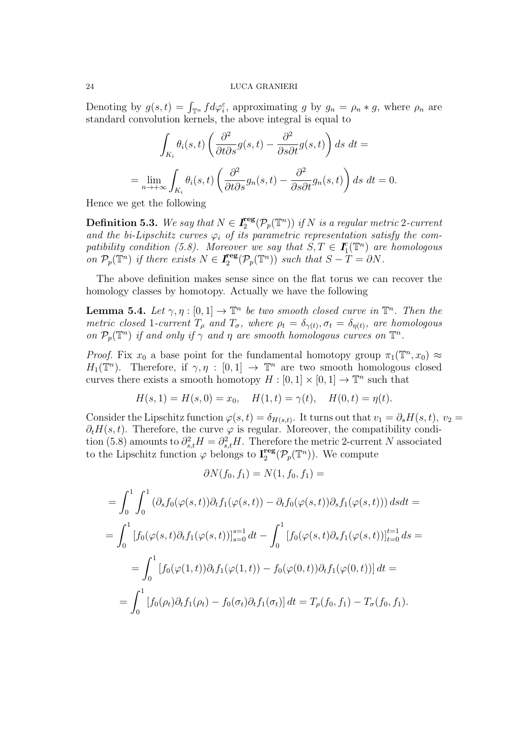Denoting by  $g(s,t) = \int_{\mathbb{T}^n} f d\varphi_i^{\varepsilon}$ , approximating *g* by  $g_n = \rho_n * g$ , where  $\rho_n$  are standard convolution kernels, the above integral is equal to

$$
\int_{K_i} \theta_i(s,t) \left( \frac{\partial^2}{\partial t \partial s} g(s,t) - \frac{\partial^2}{\partial s \partial t} g(s,t) \right) ds dt =
$$
\n
$$
= \lim_{n \to +\infty} \int_{K_i} \theta_i(s,t) \left( \frac{\partial^2}{\partial t \partial s} g_n(s,t) - \frac{\partial^2}{\partial s \partial t} g_n(s,t) \right) ds dt = 0.
$$

Hence we get the following

**Definition 5.3.** *We say that*  $N \in I_2^{\text{reg}}$  $\int_2^{\mathbf{reg}}(\mathcal{P}_p(\mathbb{T}^n))$  if  $N$  is a regular metric  $2\text{-}current$ and the bi-Lipschitz curves  $\varphi_i$  of its parametric representation satisfy the com*patibility condition (5.8). Moreover we say that*  $S, T \in I_1^c$  $f_1^c(\mathbb{T}^n)$  are homologous *on*  $\mathcal{P}_p(\mathbb{T}^n)$  *if there exists*  $N \in \mathbf{I}_2^{\text{reg}}$  $\int_2^{\text{reg}} (\mathcal{P}_p(\mathbb{T}^n)) \text{ such that } S - T = \partial N.$ 

The above definition makes sense since on the flat torus we can recover the homology classes by homotopy. Actually we have the following

**Lemma 5.4.** *Let*  $\gamma, \eta : [0, 1] \to \mathbb{T}^n$  *be two smooth closed curve in*  $\mathbb{T}^n$ *. Then the metric closed* 1-*current*  $T_{\rho}$  *and*  $T_{\sigma}$ *, where*  $\rho_t = \delta_{\gamma(t)}$ *,*  $\sigma_t = \delta_{\eta(t)}$ *, are homologous on*  $\mathcal{P}_p(\mathbb{T}^n)$  *if and only if*  $\gamma$  *and*  $\eta$  *are smooth homologous curves on*  $\mathbb{T}^n$ *.* 

*Proof.* Fix  $x_0$  a base point for the fundamental homotopy group  $\pi_1(\mathbb{T}^n, x_0) \approx$ *H*<sub>1</sub>( $\mathbb{T}^n$ ). Therefore, if  $\gamma$ ,  $\eta$  : [0, 1]  $\rightarrow$   $\mathbb{T}^n$  are two smooth homologous closed curves there exists a smooth homotopy  $H : [0,1] \times [0,1] \to \mathbb{T}^n$  such that

$$
H(s,1) = H(s,0) = x_0, \quad H(1,t) = \gamma(t), \quad H(0,t) = \eta(t).
$$

Consider the Lipschitz function  $\varphi(s,t) = \delta_{H(s,t)}$ . It turns out that  $v_1 = \partial_s H(s,t)$ ,  $v_2 =$  $\partial_t H(s,t)$ . Therefore, the curve  $\varphi$  is regular. Moreover, the compatibility condition (5.8) amounts to  $\partial_{s,t}^2 H = \partial_{s,t}^2 H$ . Therefore the metric 2-current *N* associated to the Lipschitz function  $\varphi$  belongs to  $\mathbf{I}^{\text{reg}}_2$  $\frac{\text{reg}}{2}(\mathcal{P}_p(\mathbb{T}^n))$ . We compute

$$
\partial N(f_0, f_1) = N(1, f_0, f_1) =
$$

$$
= \int_0^1 \int_0^1 (\partial_s f_0(\varphi(s,t)) \partial_t f_1(\varphi(s,t)) - \partial_t f_0(\varphi(s,t)) \partial_s f_1(\varphi(s,t))) ds dt =
$$
  
\n
$$
= \int_0^1 [f_0(\varphi(s,t) \partial_t f_1(\varphi(s,t))]_{s=0}^{s=1} dt - \int_0^1 [f_0(\varphi(s,t) \partial_s f_1(\varphi(s,t))]_{t=0}^{t=1} ds =
$$
  
\n
$$
= \int_0^1 [f_0(\varphi(1,t)) \partial_t f_1(\varphi(1,t)) - f_0(\varphi(0,t)) \partial_t f_1(\varphi(0,t))] dt =
$$
  
\n
$$
= \int_0^1 [f_0(\rho_t) \partial_t f_1(\rho_t) - f_0(\sigma_t) \partial_t f_1(\sigma_t)] dt = T_\rho(f_0, f_1) - T_\sigma(f_0, f_1).
$$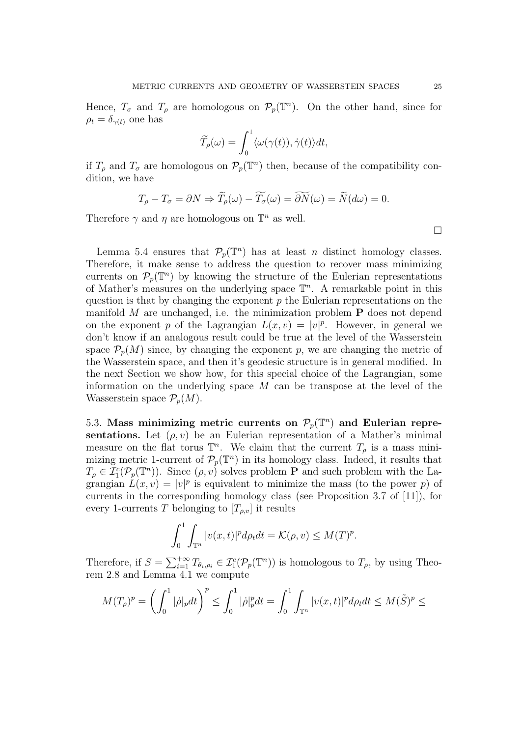Hence,  $T_{\sigma}$  and  $T_{\rho}$  are homologous on  $\mathcal{P}_p(\mathbb{T}^n)$ . On the other hand, since for  $\rho_t = \delta_{\gamma(t)}$  one has **Therefore**  $\widetilde{T}_{\rho}(\omega) = \int_0^1$ 

$$
\widetilde{T}_{\rho}(\omega) = \int_0^1 \langle \omega(\gamma(t)), \dot{\gamma}(t) \rangle dt,
$$

if  $T_\rho$  and  $T_\sigma$  are homologous on  $\mathcal{P}_p(\mathbb{T}^n)$  then, because of the compatibility condition, we have *T*<sub>*P*</sub>  $\rightarrow$  *T*<sub>*P*</sub>(*u*)  $\rightarrow$  *T*<sub>*n*</sub>(*u*)  $\rightarrow$  *T*<sub>*n*</sub>(*u*)  $\rightarrow$  *T*<sub>*n*</sub>(*w*) =  $\frac{\partial N}{\partial x}(\omega) = \frac{\partial N}{\partial y}(\omega) = 0.$ 

$$
T_{\rho} - T_{\sigma} = \partial N \Rightarrow \widetilde{T}_{\rho}(\omega) - \widetilde{T}_{\sigma}(\omega) = \widetilde{\partial N}(\omega) = \widetilde{N}(d\omega) = 0.
$$

Therefore  $\gamma$  and  $\eta$  are homologous on  $\mathbb{T}^n$  as well.

 $\Box$ 

Lemma 5.4 ensures that  $\mathcal{P}_p(\mathbb{T}^n)$  has at least *n* distinct homology classes. Therefore, it make sense to address the question to recover mass minimizing currents on  $\mathcal{P}_p(\mathbb{T}^n)$  by knowing the structure of the Eulerian representations of Mather's measures on the underlying space T *n* . A remarkable point in this question is that by changing the exponent *p* the Eulerian representations on the manifold *M* are unchanged, i.e. the minimization problem **P** does not depend on the exponent *p* of the Lagrangian  $L(x, v) = |v|^p$ . However, in general we don't know if an analogous result could be true at the level of the Wasserstein space  $P_p(M)$  since, by changing the exponent p, we are changing the metric of the Wasserstein space, and then it's geodesic structure is in general modified. In the next Section we show how, for this special choice of the Lagrangian, some information on the underlying space *M* can be transpose at the level of the Wasserstein space  $\mathcal{P}_p(M)$ .

5.3. Mass minimizing metric currents on  $P_p(\mathbb{T}^n)$  and Eulerian repre**sentations.** Let  $(\rho, v)$  be an Eulerian representation of a Mather's minimal measure on the flat torus  $\mathbb{T}^n$ . We claim that the current  $T_\rho$  is a mass minimizing metric 1-current of  $\mathcal{P}_p(\mathbb{T}^n)$  in its homology class. Indeed, it results that  $T_{\rho} \in \mathcal{I}_1^c(\mathcal{P}_p(\mathbb{T}^n))$ . Since  $(\rho, v)$  solves problem **P** and such problem with the Lagrangian  $\dot{L}(x, v) = |v|^p$  is equivalent to minimize the mass (to the power *p*) of currents in the corresponding homology class (see Proposition 3*.*7 of [11]), for every 1-currents *T* belonging to  $[T_{\rho,\nu}]$  it results

$$
\int_0^1 \int_{\mathbb{T}^n} |v(x,t)|^p d\rho_t dt = \mathcal{K}(\rho, v) \le M(T)^p.
$$

Therefore, if  $S = \sum_{i=1}^{+\infty} T_{\theta_i,\rho_i} \in \mathcal{I}_1^c(\mathcal{P}_p(\mathbb{T}^n))$  is homologous to  $T_\rho$ , by using Theorem 2.8 and Lemma 4.1 we compute  $\int_0^{\infty} \int_{\mathbb{T}^n}$ <sup>|</sup><br>  $\sum_{i=1}^{+\infty} T_{\theta_i,\rho}$ <br>
a 4.1 we<br>  $|\rho|_p dt$ 

$$
M(T_{\rho})^p = \left(\int_0^1 |\dot{\rho}|_p dt\right)^p \le \int_0^1 |\dot{\rho}|_p^p dt = \int_0^1 \int_{\mathbb{T}^n} |v(x,t)|^p d\rho_t dt \le M(\tilde{S})^p \le
$$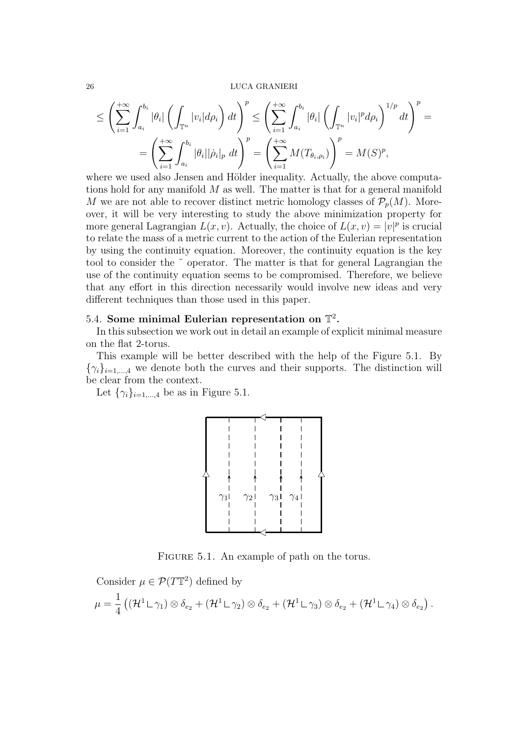$$
\text{LUCA GRANIERI}
$$
\n
$$
\leq \left(\sum_{i=1}^{+\infty} \int_{a_i}^{b_i} |\theta_i| \left(\int_{\mathbb{T}^n} |v_i| d\rho_i\right) dt\right)^p \leq \left(\sum_{i=1}^{+\infty} \int_{a_i}^{b_i} |\theta_i| \left(\int_{\mathbb{T}^n} |v_i|^p d\rho_i\right)^{1/p} dt\right)^p =
$$
\n
$$
= \left(\sum_{i=1}^{+\infty} \int_{a_i}^{b_i} |\theta_i| |\rho_i| p dt\right)^p = \left(\sum_{i=1}^{+\infty} M(T_{\theta_i, \rho_i})\right)^p = M(S)^p,
$$
\n
$$
\text{and so we need also be known as } \mathbb{E}[\mathbb{E}[\mathbb{E}[\mathbb{E}[\mathbb{E}[\mathbb{E}[\mathbb{E}[\mathbb{E}[\mathbb{E}[\mathbb{E}[\mathbb{E}[\mathbb{E}[\mathbb{E}[\mathbb{E}[\mathbb{E}[\mathbb{E}[\mathbb{E}[\mathbb{E}[\mathbb{E}[\mathbb{E}[\mathbb{E}[\mathbb{E}[\mathbb{E}[\mathbb{E}[\mathbb{E}[\mathbb{E}[\mathbb{E}[\mathbb{E}[\mathbb{E}[\mathbb{E}[\mathbb{E}[\mathbb{E}[\mathbb{E}[\mathbb{E}[\mathbb{E}[\mathbb{E}[\mathbb{E}[\mathbb{E}[\mathbb{E}[\mathbb{E}[\mathbb{E}[\mathbb{E}[\mathbb{E}[\mathbb{E}[\mathbb{E}[\mathbb{E}[\mathbb{E}[\mathbb{E}[\mathbb{E}[\mathbb{E}[\mathbb{E}[\mathbb{E}[\mathbb{E}[\mathbb{E}[\mathbb{E}[\mathbb{E}[\mathbb{E}[\mathbb{E}[\mathbb{E}[\mathbb{E}[\mathbb{E}[\mathbb{E}[\mathbb{E}[\mathbb{E}[\mathbb{E}[\mathbb{E}[\mathbb{E}[\mathbb{E}[\mathbb{E}[\mathbb{E}[\mathbb{E}[\mathbb{E}[\mathbb{E}[\mathbb{E}[\mathbb{E}[\mathbb{E}[\mathbb{E}[\mathbb{E}[\mathbb{E}[\mathbb{E}[\mathbb{E}[\mathbb{E}[\mathbb{E}[\mathbb{E}[\mathbb{E}
$$

where we used also Jensen and Hölder inequality. Actually, the above computations hold for any manifold *M* as well. The matter is that for a general manifold *M* we are not able to recover distinct metric homology classes of  $\mathcal{P}_p(M)$ . Moreover, it will be very interesting to study the above minimization property for more general Lagrangian  $L(x, v)$ . Actually, the choice of  $L(x, v) = |v|^p$  is crucial to relate the mass of a metric current to the action of the Eulerian representation by using the continuity equation. Moreover, the continuity equation is the key tool to consider the ˜ operator. The matter is that for general Lagrangian the use of the continuity equation seems to be compromised. Therefore, we believe that any effort in this direction necessarily would involve new ideas and very different techniques than those used in this paper.

# 5.4. Some minimal Eulerian representation on  $\mathbb{T}^2$ .

In this subsection we work out in detail an example of explicit minimal measure on the flat 2-torus.

This example will be better described with the help of the Figure 5.1. By  $\{\gamma_i\}_{i=1,\dots,4}$  we denote both the curves and their supports. The distinction will be clear from the context.

Let  $\{\gamma_i\}_{i=1,\dots,4}$  be as in Figure 5.1.



FIGURE 5.1. An example of path on the torus.

Consider  $\mu \in \mathcal{P}(T\mathbb{T}^2)$  defined by

$$
\mu = \frac{1}{4}\left( (\mathcal{H}^{1} \sqcup \gamma_{1}) \otimes \delta_{e_2} + (\mathcal{H}^{1} \sqcup \gamma_{2}) \otimes \delta_{e_2} + (\mathcal{H}^{1} \sqcup \gamma_{3}) \otimes \delta_{e_2} + (\mathcal{H}^{1} \sqcup \gamma_{4}) \otimes \delta_{e_2} \right).
$$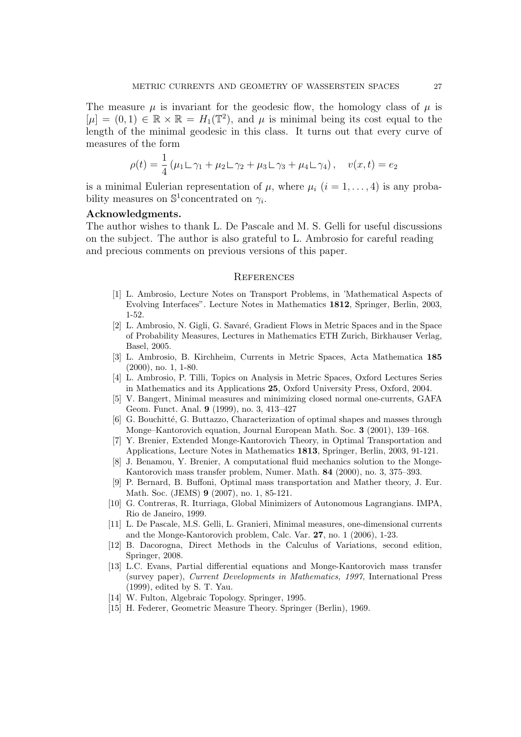The measure  $\mu$  is invariant for the geodesic flow, the homology class of  $\mu$  is  $[\mu] = (0,1) \in \mathbb{R} \times \mathbb{R} = H_1(\mathbb{T}^2)$ , and  $\mu$  is minimal being its cost equal to the length of the minimal geodesic in this class. It turns out that every curve of measures of the form

$$
\rho(t) = \frac{1}{4} (\mu_1 \Box \gamma_1 + \mu_2 \Box \gamma_2 + \mu_3 \Box \gamma_3 + \mu_4 \Box \gamma_4), \quad v(x, t) = e_2
$$

is a minimal Eulerian representation of  $\mu$ , where  $\mu_i$  ( $i = 1, \ldots, 4$ ) is any probability measures on  $\mathbb{S}^1$  concentrated on  $\gamma_i$ .

### **Acknowledgments.**

The author wishes to thank L. De Pascale and M. S. Gelli for useful discussions on the subject. The author is also grateful to L. Ambrosio for careful reading and precious comments on previous versions of this paper.

#### **REFERENCES**

- [1] L. Ambrosio, Lecture Notes on Transport Problems, in 'Mathematical Aspects of Evolving Interfaces". Lecture Notes in Mathematics **1812**, Springer, Berlin, 2003, 1-52.
- [2] L. Ambrosio, N. Gigli, G. Savaré, Gradient Flows in Metric Spaces and in the Space of Probability Measures, Lectures in Mathematics ETH Zurich, Birkhauser Verlag, Basel, 2005.
- [3] L. Ambrosio, B. Kirchheim, Currents in Metric Spaces, Acta Mathematica **185** (2000), no. 1, 1-80.
- [4] L. Ambrosio, P. Tilli, Topics on Analysis in Metric Spaces, Oxford Lectures Series in Mathematics and its Applications **25**, Oxford University Press, Oxford, 2004.
- [5] V. Bangert, Minimal measures and minimizing closed normal one-currents, GAFA Geom. Funct. Anal. **9** (1999), no. 3, 413–427
- [6] G. Bouchitté, G. Buttazzo, Characterization of optimal shapes and masses through Monge–Kantorovich equation, Journal European Math. Soc. **3** (2001), 139–168.
- [7] Y. Brenier, Extended Monge-Kantorovich Theory, in Optimal Transportation and Applications, Lecture Notes in Mathematics **1813**, Springer, Berlin, 2003, 91-121.
- [8] J. Benamou, Y. Brenier, A computational fluid mechanics solution to the Monge-Kantorovich mass transfer problem, Numer. Math. **84** (2000), no. 3, 375–393.
- [9] P. Bernard, B. Buffoni, Optimal mass transportation and Mather theory, J. Eur. Math. Soc. (JEMS) **9** (2007), no. 1, 85-121.
- [10] G. Contreras, R. Iturriaga, Global Minimizers of Autonomous Lagrangians. IMPA, Rio de Janeiro, 1999.
- [11] L. De Pascale, M.S. Gelli, L. Granieri, Minimal measures, one-dimensional currents and the Monge-Kantorovich problem, Calc. Var. **27**, no. 1 (2006), 1-23.
- [12] B. Dacorogna, Direct Methods in the Calculus of Variations, second edition, Springer, 2008.
- [13] L.C. Evans, Partial differential equations and Monge-Kantorovich mass transfer (survey paper), *Current Developments in Mathematics, 1997*, International Press (1999), edited by S. T. Yau.
- [14] W. Fulton, Algebraic Topology. Springer, 1995.
- [15] H. Federer, Geometric Measure Theory. Springer (Berlin), 1969.